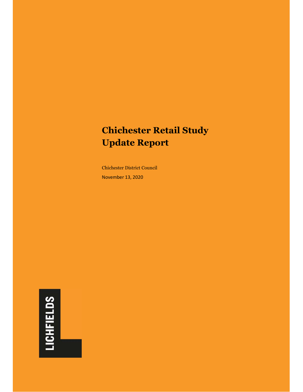# **Chichester Retail Study Update Report**

Chichester District Council November 13, 2020

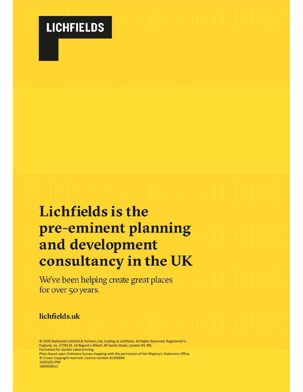

# Lichfields is the pre-eminent planning and development consultancy in the UK

We've been helping create great places for over 50 years.

### lichfields.uk

© 2020 Nathaniel Lichfield & Partners Ltd, trading as Lichfields. All Rights Reserved. Registered in England, no. 2778116. 14 Regent's Wharf, All Saints Street, London N1 9RL Formatted for double sided printing.

Plans based upon Ordnance Survey mapping with the permission of Her Majesty's Stationery Office. © Crown Copyright reserved. Licence number AL50684A 16003/01/PW

18858385v2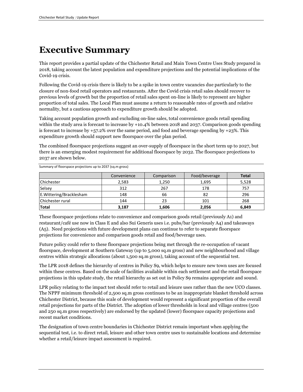## **Executive Summary**

This report provides a partial update of the Chichester Retail and Main Town Centre Uses Study prepared in 2018, taking account the latest population and expenditure projections and the potential implications of the Covid-19 crisis.

Following the Covid-19 crisis there is likely to be a spike in town centre vacancies due particularly to the closure of non-food retail operators and restaurants. After the Covid crisis retail sales should recover to previous levels of growth but the proportion of retail sales spent on-line is likely to represent are higher proportion of total sales. The Local Plan must assume a return to reasonable rates of growth and relative normality, but a cautious approach to expenditure growth should be adopted.

Taking account population growth and excluding on-line sales, total convenience goods retail spending within the study area is forecast to increase by +10.4% between 2018 and 2037. Comparison goods spending is forecast to increase by  $+57.2\%$  over the same period, and food and beverage spending by  $+23\%$ . This expenditure growth should support new floorspace over the plan period.

The combined floorspace projections suggest an over-supply of floorspace in the short term up to 2027, but there is an emerging modest requirement for additional floorspace by 2032. The floorspace projections to 2037 are shown below.

|                          | Convenience | Comparison | Food/beverage | <b>Total</b> |
|--------------------------|-------------|------------|---------------|--------------|
| <b>Chichester</b>        | 2,583       | 1,250      | 1,695         | 5,528        |
| Selsey                   | 312         | 267        | 178           | 757          |
| E. Wittering/Bracklesham | 148         | 66         | 82            | 296          |
| Chichester rural         | 144         | 23         | 101           | 268          |
| <b>Total</b>             | 3,187       | 1,606      | 2,056         | 6,849        |

Summary of floorspace projections up to 2037 (sq.m gross)

These floorspace projections relate to convenience and comparison goods retail (previously A1) and restaurant/café use now in Class E and also Sui Generis uses i.e. pubs/bar (previously A4) and takeaways (A5). Need projections with future development plans can continue to refer to separate floorspace projections for convenience and comparison goods retail and food/beverage uses.

Future policy could refer to these floorspace projections being met through the re-occupation of vacant floorspace, development at Southern Gateway (up to 5,000 sq.m gross) and new neighbourhood and village centres within strategic allocations (about 1,500 sq.m gross), taking account of the sequential test.

The LPR 2018 defines the hierarchy of centres in Policy S9, which helps to ensure new town uses are focused within these centres. Based on the scale of facilities available within each settlement and the retail floorspace projections in this update study, the retail hierarchy as set out in Policy S9 remains appropriate and sound.

LPR policy relating to the impact test should refer to retail and leisure uses rather than the new UCO classes. The NPPF minimum threshold of 2,500 sq.m gross continues to be an inappropriate blanket threshold across Chichester District, because this scale of development would represent a significant proportion of the overall retail projections for parts of the District. The adoption of lower thresholds in local and village centres (500 and 250 sq.m gross respectively) are endorsed by the updated (lower) floorspace capacity projections and recent market conditions.

The designation of town centre boundaries in Chichester District remain important when applying the sequential test, i.e. to direct retail, leisure and other town centre uses to sustainable locations and determine whether a retail/leisure impact assessment is required.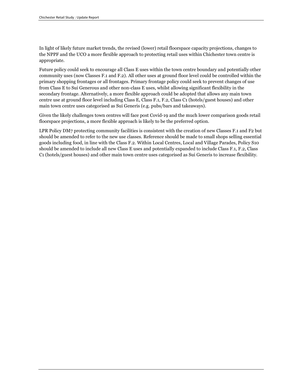In light of likely future market trends, the revised (lower) retail floorspace capacity projections, changes to the NPPF and the UCO a more flexible approach to protecting retail uses within Chichester town centre is appropriate.

Future policy could seek to encourage all Class E uses within the town centre boundary and potentially other community uses (now Classes F.1 and F.2). All other uses at ground floor level could be controlled within the primary shopping frontages or all frontages. Primary frontage policy could seek to prevent changes of use from Class E to Sui Generous and other non-class E uses, whilst allowing significant flexibility in the secondary frontage. Alternatively, a more flexible approach could be adopted that allows any main town centre use at ground floor level including Class E, Class F.1, F.2, Class C1 (hotels/guest houses) and other main town centre uses categorised as Sui Generis (e.g. pubs/bars and takeaways).

Given the likely challenges town centres will face post Covid-19 and the much lower comparison goods retail floorspace projections, a more flexible approach is likely to be the preferred option.

LPR Policy DM7 protecting community facilities is consistent with the creation of new Classes F.1 and F2 but should be amended to refer to the new use classes. Reference should be made to small shops selling essential goods including food, in line with the Class F.2. Within Local Centres, Local and Village Parades, Policy S10 should be amended to include all new Class E uses and potentially expanded to include Class F.1, F.2, Class C1 (hotels/guest houses) and other main town centre uses categorised as Sui Generis to increase flexibility.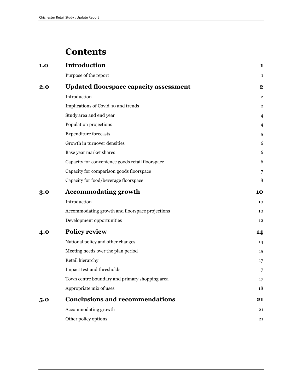### **Contents**

| 1.0 | <b>Introduction</b>                              | 1                       |
|-----|--------------------------------------------------|-------------------------|
|     | Purpose of the report                            | 1                       |
| 2.0 | <b>Updated floorspace capacity assessment</b>    | $\mathbf 2$             |
|     | Introduction                                     | $\overline{\mathbf{2}}$ |
|     | Implications of Covid-19 and trends              | 2                       |
|     | Study area and end year                          | 4                       |
|     | Population projections                           | 4                       |
|     | <b>Expenditure forecasts</b>                     | 5                       |
|     | Growth in turnover densities                     | 6                       |
|     | Base year market shares                          | 6                       |
|     | Capacity for convenience goods retail floorspace | 6                       |
|     | Capacity for comparison goods floorspace         | 7                       |
|     | Capacity for food/beverage floorspace            | 8                       |
| 3.0 | <b>Accommodating growth</b>                      | 10                      |
|     | Introduction                                     | 10                      |
|     | Accommodating growth and floorspace projections  | 10                      |
|     | Development opportunities                        | 12                      |
| 4.0 | <b>Policy review</b>                             | 14                      |
|     | National policy and other changes                | 14                      |
|     | Meeting needs over the plan period               | 15                      |
|     | Retail hierarchy                                 | 17                      |
|     | Impact test and thresholds                       | 17                      |
|     | Town centre boundary and primary shopping area   | 17                      |
|     | Appropriate mix of uses                          | 18                      |
| 5.0 | <b>Conclusions and recommendations</b>           | 21                      |
|     | Accommodating growth                             | 21                      |
|     | Other policy options                             | 21                      |
|     |                                                  |                         |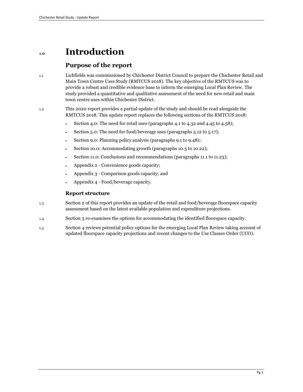### **1.0 Introduction**

#### **Purpose of the report**

1.1 Lichfields was commissioned by Chichester District Council to prepare the Chichester Retail and Main Town Centre Uses Study (RMTCUS 2018). The key objective of the RMTCUS was to provide a robust and credible evidence base to inform the emerging Local Plan Review. The study provided a quantitative and qualitative assessment of the need for new retail and main town centre uses within Chichester District.

1.2 This 2020 report provides a partial update of the study and should be read alongside the RMTCUS 2018. This update report replaces the following sections of the RMTCUS 2018:

- Section 4.0: The need for retail uses (paragraphs 4.1 to 4.32 and 4.45 to 4.58);
- Section 5.0: The need for food/beverage uses (paragraphs 5.12 to 5.17);
- Section 9.0: Planning policy analysis (paragraphs 9.1 to 9.48);
- Section 10.0: Accommodating growth (paragraphs 10.3 to 10.22);
- Section 11.0: Conclusions and recommendations (paragraphs 11.1 to 11.23);
- Appendix 2 Convenience goods capacity;
- Appendix 3 Comparison goods capacity; and
- Appendix 4 Food/beverage capacity.

#### **Report structure**

- 1.3 Section 2 of this report provides an update of the retail and food/beverage floorspace capacity assessment based on the latest available population and expenditure projections.
- 1.4 Section 3 re-examines the options for accommodating the identified floorspace capacity.
- 1.5 Section 4 reviews potential policy options for the emerging Local Plan Review taking account of updated floorspace capacity projections and recent changes to the Use Classes Order (UCO).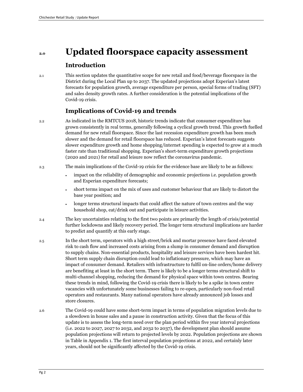### **2.0 Updated floorspace capacity assessment**

#### **Introduction**

2.1 This section updates the quantitative scope for new retail and food/beverage floorspace in the District during the Local Plan up to 2037. The updated projections adopt Experian's latest forecasts for population growth, average expenditure per person, special forms of trading (SFT) and sales density growth rates. A further consideration is the potential implications of the Covid-19 crisis.

#### **Implications of Covid-19 and trends**

- 2.2 As indicated in the RMTCUS 2018, historic trends indicate that consumer expenditure has grown consistently in real terms, generally following a cyclical growth trend. This growth fuelled demand for new retail floorspace. Since the last recession expenditure growth has been much slower and the demand for retail floorspace has reduced. Experian's latest forecasts suggests slower expenditure growth and home shopping/internet spending is expected to grow at a much faster rate than traditional shopping. Experian's short-term expenditure growth projections (2020 and 2021) for retail and leisure now reflect the coronavirus pandemic.
- 2.3 The main implications of the Covid-19 crisis for the evidence base are likely to be as follows:
	- impact on the reliability of demographic and economic projections i.e. population growth and Experian expenditure forecasts;
	- short terms impact on the mix of uses and customer behaviour that are likely to distort the base year position; and
	- longer terms structural impacts that could affect the nature of town centres and the way household shop, eat/drink out and participate in leisure activities.
- 2.4 The key uncertainties relating to the first two points are primarily the length of crisis/potential further lockdowns and likely recovery period. The longer term structural implications are harder to predict and quantify at this early stage.
- 2.5 In the short term, operators with a high street/brick and mortar presence have faced elevated risk to cash flow and increased costs arising from a slump in consumer demand and disruption to supply chains. Non-essential products, hospitality and leisure services have been hardest hit. Short term supply chain disruption could lead to inflationary pressure, which may have an impact of consumer demand. Retailers with infrastructure to fulfil on-line orders/home delivery are benefiting at least in the short term. There is likely to be a longer terms structural shift to multi-channel shopping, reducing the demand for physical space within town centres. Bearing these trends in mind, following the Covid-19 crisis there is likely to be a spike in town centre vacancies with unfortunately some businesses failing to re-open, particularly non-food retail operators and restaurants. Many national operators have already announced job losses and store closures.
- 2.6 The Covid-19 could have some short-term impact in terms of population migration levels due to a slowdown in house sales and a pause in construction activity. Given that the focus of this update is to assess the long-term need over the plan period within five year interval projections (i.e. 2022 to 2027, 2027 to 2032, and 2032 to 2037), the development plan should assume population projections will return to projected levels by 2022. Population projections are shown in Table in Appendix 1. The first interval population projections at 2022, and certainly later years, should not be significantly affected by the Covid-19 crisis.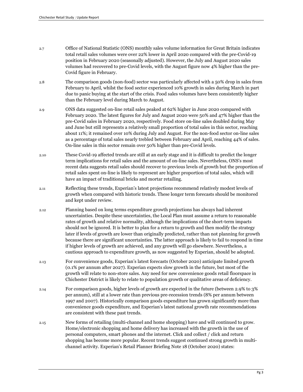- 2.7 Office of National Statistic (ONS) monthly sales volume information for Great Britain indicates total retail sales volumes were over 22% lower in April 2020 compared with the pre-Covid-19 position in February 2020 (seasonally adjusted). However, the July and August 2020 sales volumes had recovered to pre-Covid levels, with the August figure now 4% higher than the pre-Covid figure in February.
- 2.8 The comparison goods (non-food) sector was particularly affected with a 50% drop in sales from February to April, whilst the food sector experienced 10% growth in sales during March in part due to panic buying at the start of the crisis. Food sales volumes have been consistently higher than the February level during March to August.
- 2.9 ONS data suggested on-line retail sales peaked at 62% higher in June 2020 compared with February 2020. The latest figures for July and August 2020 were 50% and 47% higher than the pre-Covid sales in February 2020, respectively. Food store on-line sales doubled during May and June but still represents a relatively small proportion of total sales in this sector, reaching about 11%; it remained over 10% during July and August. For the non-food sector on-line sales as a percentage of total sales nearly trebled between February and April, reaching 44% of sales. On-line sales in this sector remain over 50% higher than pre-Covid levels.
- 2.10 These Covid-19 affected trends are still at an early stage and it is difficult to predict the longer term implications for retail sales and the amount of on-line sales. Nevertheless, ONS's most recent data suggests retail sales should recover to previous levels of growth but the proportion of retail sales spent on-line is likely to represent are higher proportion of total sales, which will have an impact of traditional bricks and mortar retailing.
- 2.11 Reflecting these trends, Experian's latest projections recommend relatively modest levels of growth when compared with historic trends. These longer term forecasts should be monitored and kept under review.
- 2.12 Planning based on long terms expenditure growth projections has always had inherent uncertainties. Despite these uncertainties, the Local Plan must assume a return to reasonable rates of growth and relative normality, although the implications of the short-term impacts should not be ignored. It is better to plan for a return to growth and then modify the strategy later if levels of growth are lower than originally predicted, rather than not planning for growth because there are significant uncertainties. The latter approach is likely to fail to respond in time if higher levels of growth are achieved, and any growth will go elsewhere. Nevertheless, a cautious approach to expenditure growth, as now suggested by Experian, should be adopted.
- 2.13 For convenience goods, Experian's latest forecasts (October 2020) anticipate limited growth (0.1% per annum after 2027). Experian expects slow growth in the future, but most of the growth will relate to non-store sales. Any need for new convenience goods retail floorspace in Chichester District is likely to relate to population growth or qualitative areas of deficiency.
- 2.14 For comparison goods, higher levels of growth are expected in the future (between 2.9% to 3% per annum), still at a lower rate than previous pre-recession trends (8% per annum between 1997 and 2007). Historically comparison goods expenditure has grown significantly more than convenience goods expenditure, and Experian's latest national growth rate recommendations are consistent with these past trends.
- 2.15 New forms of retailing (multi-channel and home shopping) have and will continued to grow. Home/electronic shopping and home delivery has increased with the growth in the use of personal computers, smart phones and the internet. Click and collect / click and return shopping has become more popular. Recent trends suggest continued strong growth in multichannel activity. Experian's Retail Planner Briefing Note 18 (October 2020) states: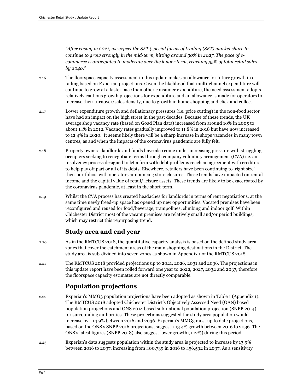*"After easing in 2021, we expect the SFT (special forms of trading (SFT) market share to continue to grow strongly in the mid-term, hitting around 30% in 2027. The pace of ecommerce is anticipated to moderate over the longer term, reaching 35% of total retail sales by 2040."* 

- 2.16 The floorspace capacity assessment in this update makes an allowance for future growth in etailing based on Experian projections. Given the likelihood that multi-channel expenditure will continue to grow at a faster pace than other consumer expenditure, the need assessment adopts relatively cautious growth projections for expenditure and an allowance is made for operators to increase their turnover/sales density, due to growth in home shopping and click and collect.
- 2.17 Lower expenditure growth and deflationary pressures (i.e. price cutting) in the non-food sector have had an impact on the high street in the past decades. Because of these trends, the UK average shop vacancy rate (based on Goad Plan data) increased from around 10% in 2005 to about 14% in 2012. Vacancy rates gradually improved to 11.8% in 2018 but have now increased to 12.4% in 2020. It seems likely there will be a sharp increase in shops vacancies in many town centres, as and when the impacts of the coronavirus pandemic are fully felt.
- 2.18 Property owners, landlords and funds have also come under increasing pressure with struggling occupiers seeking to renegotiate terms through company voluntary arrangement (CVA) i.e. an insolvency process designed to let a firm with debt problems reach an agreement with creditors to help pay off part or all of its debts. Elsewhere, retailers have been continuing to 'right size' their portfolios, with operators announcing store closures. These trends have impacted on rental income and the capital value of retail/ leisure assets. These trends are likely to be exacerbated by the coronavirus pandemic, at least in the short-term.
- 2.19 Whilst the CVA process has created headaches for landlords in terms of rent negotiations, at the same time newly freed-up space has opened up new opportunities. Vacated premises have been reconfigured and reused for food/beverage, trampolines, climbing and indoor golf. Within Chichester District most of the vacant premises are relatively small and/or period buildings, which may restrict this repurposing trend.

#### **Study area and end year**

- 2.20 As in the RMTCUS 2018, the quantitative capacity analysis is based on the defined study area zones that cover the catchment areas of the main shopping destinations in the District. The study area is sub-divided into seven zones as shown in Appendix 1 of the RMTCUS 2018.
- 2.21 The RMTCUS 2018 provided projections up to 2021, 2026, 2031 and 2036. The projections in this update report have been rolled forward one year to 2022, 2027, 2032 and 2037, therefore the floorspace capacity estimates are not directly comparable.

#### **Population projections**

- 2.22 Experian's MMG3 population projections have been adopted as shown in Table 1 (Appendix 1). The RMTCUS 2018 adopted Chichester District's Objectively Assessed Need (OAN) based population projections and ONS 2014 based sub-national population projection (SNPP 2014) for surrounding authorities. These projections suggested the study area population would increase by +14.9% between 2016 and 2036. Experian's MMG3 most up to date projections, based on the ONS's SNPP 2016 projections, suggest +13.4% growth between 2016 to 2036. The ONS's latest figures (SNPP 2018) also suggest lower growth (+12%) during this period.
- 2.23 Experian's data suggests population within the study area is projected to increase by 13.9% between 2016 to 2037, increasing from 400,739 in 2016 to 456,592 in 2037. As a sensitivity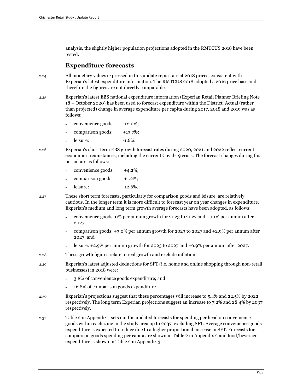analysis, the slightly higher population projections adopted in the RMTCUS 2018 have been tested.

#### **Expenditure forecasts**

- 2.24 All monetary values expressed in this update report are at 2018 prices, consistent with Experian's latest expenditure information. The RMTCUS 2018 adopted a 2016 price base and therefore the figures are not directly comparable.
- 2.25 Experian's latest EBS national expenditure information (Experian Retail Planner Briefing Note 18 – October 2020) has been used to forecast expenditure within the District. Actual (rather than projected) change in average expenditure per capita during 2017, 2018 and 2019 was as follows:
	- convenience goods: +2.0%;
	- comparison goods:  $+13.7\%$ ;
	- $\frac{1}{6\%}$ .  $\frac{1.6\%}{6\%}$
- 

2.26 Experian's short term EBS growth forecast rates during 2020, 2021 and 2022 reflect current economic circumstances, including the current Covid-19 crisis. The forecast changes during this period are as follows:

| convenience goods: | $+4.2\%;$ |
|--------------------|-----------|
| comparison goods:  | $+1.2\%;$ |

- leisure:  $-12.6\%$ .
- 2.27 These short term forecasts, particularly for comparison goods and leisure, are relatively cautious. In the longer term it is more difficult to forecast year on year changes in expenditure. Experian's medium and long term growth average forecasts have been adopted, as follows:
	- convenience goods: 0% per annum growth for 2023 to 2027 and +0.1% per annum after 2027;
	- comparison goods: +3.0% per annum growth for 2023 to 2027 and +2.9% per annum after 2027; and
	- leisure: +2.9% per annum growth for 2023 to 2027 and +0.9% per annum after 2027.
- 2.28 These growth figures relate to real growth and exclude inflation.
- 2.29 Experian's latest adjusted deductions for SFT (i.e. home and online shopping through non-retail businesses) in 2018 were:
	- 3.8% of convenience goods expenditure; and
	- 16.8% of comparison goods expenditure.
- 2.30 Experian's projections suggest that these percentages will increase to 5.4% and 22.5% by 2022 respectively. The long term Experian projections suggest an increase to 7.2% and 28.4% by 2037 respectively.
- 2.31 Table 2 in Appendix 1 sets out the updated forecasts for spending per head on convenience goods within each zone in the study area up to 2037, excluding SFT. Average convenience goods expenditure is expected to reduce due to a higher proportional increase in SFT. Forecasts for comparison goods spending per capita are shown in Table 2 in Appendix 2 and food/beverage expenditure is shown in Table 2 in Appendix 3.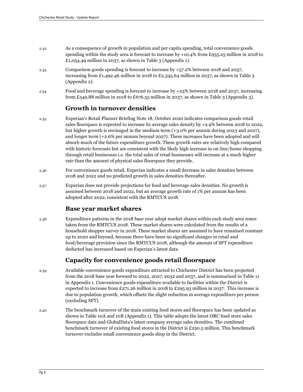- 2.32 As a consequence of growth in population and per capita spending, total convenience goods spending within the study area is forecast to increase by +10.4% from £955.25 million in 2018 to £1,054.49 million in 2037, as shown in Table 3 (Appendix 1).
- 2.33 Comparison goods spending is forecast to increase by +57.2% between 2018 and 2037, increasing from £1,492.46 million in 2018 to £2,345.64 million in 2037, as shown in Table 3 (Appendix 2).
- 2.34 Food and beverage spending is forecast to increase by +23% between 2018 and 2037, increasing from £549.88 million in 2018 to £676.55 million in 2037, as shown in Table 3 (Appendix 3).

#### **Growth in turnover densities**

- 2.35 Experian's Retail Planner Briefing Note 18, October 2020 indicates comparison goods retail sales floorspace is expected to increase its average sales density by +2.9% between 2018 to 2022, but higher growth is envisaged in the medium term (+3.0% per annum during 2023 and 2027), and longer term (+2.6% per annum beyond 2027). These increases have been adopted and will absorb much of the future expenditure growth. These growth rates are relatively high compared with historic forecasts but are consistent with the likely high increase in on-line/home shopping through retail businesses i.e. the total sales of retail businesses will increase at a much higher rate than the amount of physical sales floorspace they provide.
- 2.36 For convenience goods retail, Experian indicates a small decrease in sales densities between 2018 and 2022 and no predicted growth in sales densities thereafter.
- 2.37 Experian does not provide projections for food and beverage sales densities. No growth is assumed between 2018 and 2022, but an average growth rate of 1% per annum has been adopted after 2022, consistent with the RMTCUS 2018.

#### **Base year market shares**

2.38 Expenditure patterns in the 2018 base year adopt market shares within each study area zones taken from the RMTCUS 2018. These market shares were calculated from the results of a household shopper survey in 2018. These market shares are assumed to have remained constant up to 2020 and beyond, because there have been no significant changes in retail and food/beverage provision since the RMTCUS 2018, although the amount of SFT expenditure deducted has increased based on Experian's latest data.

#### **Capacity for convenience goods retail floorspace**

- 2.39 Available convenience goods expenditure attracted to Chichester District has been projected from the 2018 base year forward to 2022, 2027, 2032 and 2037, and is summarised in Table 11 in Appendix 1. Convenience goods expenditure available to facilities within the District is expected to increase from £271.26 million in 2018 to £295.93 million in 2037. This increase is due to population growth, which offsets the slight reduction in average expenditure per person (excluding SFT).
- 2.40 The benchmark turnover of the main existing food stores and floorspace has been updated as shown in Table 10A and 10B (Appendix 1). This table adopts the latest ORC food store sales floorspace data and GlobalData's latest company average sales densities. The combined benchmark turnover of existing food stores in the District is £250.5 million. This benchmark turnover excludes small convenience goods shop in the District.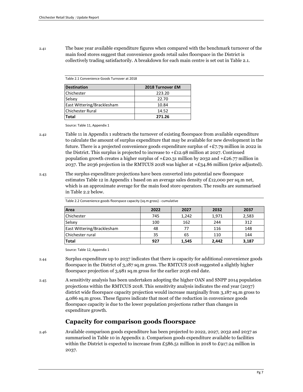2.41 The base year available expenditure figures when compared with the benchmark turnover of the main food stores suggest that convenience goods retail sales floorspace in the District is collectively trading satisfactorily. A breakdown for each main centre is set out in Table 2.1.

Table 2.1 Convenience Goods Turnover at 2018

| <b>Destination</b>         | 2018 Turnover £M |
|----------------------------|------------------|
| <b>Chichester</b>          | 223.20           |
| Selsey                     | 22.70            |
| East Wittering/Bracklesham | 10.84            |
| <b>Chichester Rural</b>    | 14.52            |
| Total                      | 271.26           |

Source: Table 11, Appendix 1

- 2.42 Table 11 in Appendix 1 subtracts the turnover of existing floorspace from available expenditure to calculate the amount of surplus expenditure that may be available for new development in the future. There is a projected convenience goods expenditure surplus of  $+E7.79$  million in 2022 in the District. This surplus is projected to increase to  $+£12.98$  million at 2027. Continued population growth creates a higher surplus of  $+£20.31$  million by 2032 and  $+£26.77$  million in 2037. The 2036 projection in the RMTCUS 2018 was higher at  $\pm 234.86$  million (price adjusted).
- 2.43 The surplus expenditure projections have been converted into potential new floorspace estimates Table 12 in Appendix 1 based on an average sales density of £12,000 per sq.m net, which is an approximate average for the main food store operators. The results are summarised in Table 2.2 below.

| Area                              | 2022 | 2027  | 2032  | 2037  |
|-----------------------------------|------|-------|-------|-------|
| <b>Chichester</b>                 | 745  | 1,242 | 1,971 | 2,583 |
| Selsey                            | 100  | 162   | 244   | 312   |
| <b>East Wittering/Bracklesham</b> | 48   | 77    | 116   | 148   |
| Chichester rural                  | 35   | 65    | 110   | 144   |
| Total                             | 927  | 1,545 | 2,442 | 3,187 |

Table 2.2 Convenience goods floorspace capacity (sq.m gross) - cumulative

Source: Table 12, Appendix 1

- 2.44 Surplus expenditure up to 2037 indicates that there is capacity for additional convenience goods floorspace in the District of 3,187 sq.m gross. The RMTCUS 2018 suggested a slightly higher floorspace projection of 3,981 sq.m gross for the earlier 2036 end date.
- 2.45 A sensitivity analysis has been undertaken adopting the higher OAN and SNPP 2014 population projections within the RMTCUS 2018. This sensitivity analysis indicates the end year (2037) district wide floorspace capacity projection would increase marginally from 3,187 sq.m gross to 4,086 sq.m gross. These figures indicate that most of the reduction in convenience goods floorspace capacity is due to the lower population projections rather than changes in expenditure growth.

#### **Capacity for comparison goods floorspace**

2.46 Available comparison goods expenditure has been projected to 2022, 2027, 2032 and 2037 as summarised in Table 10 in Appendix 2. Comparison goods expenditure available to facilities within the District is expected to increase from £586.51 million in 2018 to £917.24 million in 2037.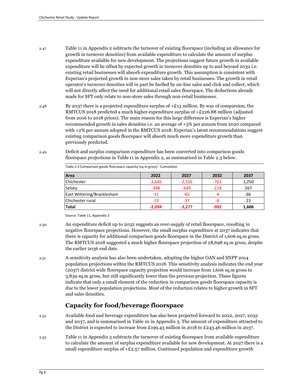- 2.47 Table 11 in Appendix 2 subtracts the turnover of existing floorspace (including an allowance for growth in turnover densities) from available expenditure to calculate the amount of surplus expenditure available for new development. The projections suggest future growth in available expenditure will be offset by expected growth in turnover densities up to and beyond 2032 i.e. existing retail businesses will absorb expenditure growth. This assumption is consistent with Experian's projected growth in non-store sales taken by retail businesses. The growth in retail operator's turnover densities will in part be fuelled by on-line sales and click and collect, which will not directly affect the need for additional retail sales floorspace. The deductions already made for SFT only relate to non-store sales through non-retail businesses.
- 2.48 By 2037 there is a projected expenditure surplus of  $\pm$  213 million. By way of comparsion, the RMTCUS 2018 predicted a much higher expenditure surplus of +£226.88 million (adjusted from 2016 to 2018 prices). The main reason for this large difference is Experian's higher recommended growth in sales densities i.e. an average of +3% per annum from 2020 compared with +2% per annum adopted in the RMTCUS 2018. Experian's latest recommendations suggest existing comparison goods floorspace will absorb much more expenditure growth than previously predicted.
- 2.49 Deficit and surplus comparison expenditure has been converted into comparison goods floorspace projections in Table 11 in Appendix 2, as summarised in Table 2.3 below.

| Area                       | 2022     | 2027     | 2032   | 2037  |
|----------------------------|----------|----------|--------|-------|
| Chichester                 | $-1,645$ | $-2,526$ | $-761$ | 1,250 |
| Selsey                     | $-398$   | $-649$   | $-218$ | 267   |
| East Wittering/Bracklesham | -31      | -65      | -4     | 66    |
| Chichester rural           | $-19$    | -37      | -8     | 23    |
| <b>Total</b>               | $-2,094$ | $-3,277$ | $-992$ | 1,606 |

Table 2.3 Comparison goods floorspace capacity (sq.m gross) - Cumulative

Source: Table 11, Appendix 2

- 2.50 An expenditure deficit up to 2032 suggests an over-supply of retail floorspace, resulting in negative floorspace projections. However, the small surplus expenditure at 2037 indicates that there is capacity for additional comparison goods floorspace in the District of 1,606 sq.m gross. The RMTCUS 2018 suggested a much higher floorspace projection of 28,698 sq.m gross, despite the earlier 2036 end date.
- 2.51 A sensitivity analysis has also been undertaken, adopting the higher OAN and SNPP 2014 population projections within the RMTCUS 2018. This sensitivity analysis indicates the end year (2037) district wide floorspace capacity projection would increase from 1,606 sq.m gross to 3,839 sq.m gross, but still significantly lower than the previous projection. These figures indicate that only a small element of the reduction in comparison goods floorspace capacity is due to the lower population projections. Most of the reduction relates to higher growth in SFT and sales densities.

#### **Capacity for food/beverage floorspace**

- 2.52 Available food and beverage expenditure has also been projected forward to 2022, 2027, 2032 and 2037, and is summarised in Table 10 in Appendix 3. The amount of expenditure attracted to the District is expected to increase from £199.43 million in 2018 to £243.46 million in 2037.
- 2.53 Table 11 in Appendix 3 subtracts the turnover of existing floorspace from available expenditure to calculate the amount of surplus expenditure available for new development. At 2027 there is a small expenditure surplus of  $+E2.57$  million. Continued population and expenditure growth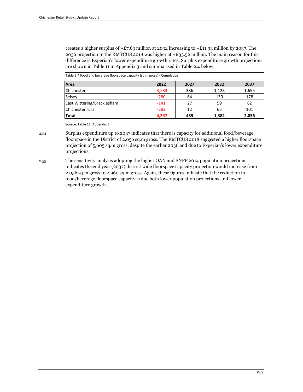creates a higher surplus of  $+E$ 7.63 million at 2032 increasing to  $+E$ 11.93 million by 2037. The 2036 projection in the RMTCUS 2018 was higher at +£33.52 million. The main reason for this difference is Experian's lower expenditure growth rates. Surplus expenditure growth projections are shown in Table 11 in Appendix 3 and summarised in Table 2.4 below.

| Table 2.4 Food and beverage floorspace capacity (sq.m gross) - Cumulative |  |
|---------------------------------------------------------------------------|--|
|---------------------------------------------------------------------------|--|

| Area                       | 2022     | 2027 | 2032  | 2037  |
|----------------------------|----------|------|-------|-------|
| Chichester                 | $-3,533$ | 386  | 1,128 | 1,695 |
| Selsey                     | $-280$   | 64   | 130   | 178   |
| East Wittering/Bracklesham | $-141$   | 27   | 59    | 82    |
| Chichester rural           | $-283$   | 12   | 65    | 101   |
| Total                      | $-4,237$ | 489  | 1,382 | 2,056 |

Source: Table 11, Appendix 3

2.54 Surplus expenditure up to 2037 indicates that there is capacity for additional food/beverage floorspace in the District of 2,056 sq.m gross. The RMTCUS 2018 suggested a higher floorspace projection of 5,605 sq.m gross, despite the earlier 2036 end due to Experian's lower expenditure projections.

2.55 The sensitivity analysis adopting the higher OAN and SNPP 2014 population projections indicates the end year (2037) district wide floorspace capacity projection would increase from 2,056 sq.m gross to 2,960 sq.m gross. Again, these figures indicate that the reduction in food/beverage floorspace capacity is due both lower population projections and lower expenditure growth.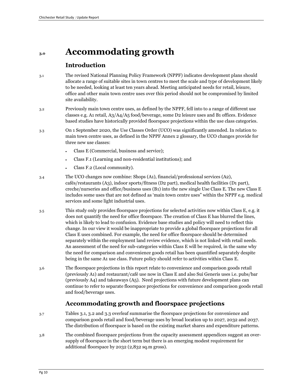### **3.0 Accommodating growth**

#### **Introduction**

- 3.1 The revised National Planning Policy Framework (NPPF) indicates development plans should allocate a range of suitable sites in town centres to meet the scale and type of development likely to be needed, looking at least ten years ahead. Meeting anticipated needs for retail, leisure, office and other main town centre uses over this period should not be compromised by limited site availability.
- 3.2 Previously main town centre uses, as defined by the NPPF, fell into to a range of different use classes e.g. A1 retail, A3/A4/A5 food/beverage, some D2 leisure uses and B1 offices. Evidence based studies have historically provided floorspace projections within the use class categories.
- 3.3 On 1 September 2020, the Use Classes Order (UCO) was significantly amended. In relation to main town centre uses, as defined in the NPPF Annex 2 glossary, the UCO changes provide for three new use classes:
	- Class E (Commercial, business and service);
	- Class F.1 (Learning and non-residential institutions); and
	- Class F.2 (Local community).
- 3.4 The UCO changes now combine: Shops (A1), financial/professional services (A2), cafés/restaurants (A3), indoor sports/fitness (D2 part), medical health facilities (D1 part), creche/nurseries and office/business uses (B1) into the new single Use Class E. The new Class E includes some uses that are not defined as 'main town centre uses" within the NPPF e.g. medical services and some light industrial uses.
- 3.5 This study only provides floorspace projections for selected activities now within Class E, e.g. it does not quantify the need for office floorspace. The creation of Class E has blurred the lines, which is likely to lead to confusion. Evidence base studies and policy will need to reflect this change. In our view it would be inappropriate to provide a global floorspace projections for all Class E uses combined. For example, the need for office floorspace should be determined separately within the employment land review evidence, which is not linked with retail needs. An assessment of the need for sub-categories within Class E will be required, in the same why the need for comparison and convenience goods retail has been quantified separately despite being in the same A1 use class. Future policy should refer to activities within Class E.
- 3.6 The floorspace projections in this report relate to convenience and comparison goods retail (previously A1) and restaurant/café use now in Class E and also Sui Generis uses i.e. pubs/bar (previously A4) and takeaways (A5). Need projections with future development plans can continue to refer to separate floorspace projections for convenience and comparison goods retail and food/beverage uses.

#### **Accommodating growth and floorspace projections**

- 3.7 Tables 3.1, 3.2 and 3.3 overleaf summarise the floorspace projections for convenience and comparison goods retail and food/beverage uses by broad location up to 2027, 2032 and 2037. The distribution of floorspace is based on the existing market shares and expenditure patterns.
- 3.8 The combined floorspace projections from the capacity assessment appendices suggest an oversupply of floorspace in the short term but there is an emerging modest requirement for additional floorspace by 2032 (2,832 sq.m gross).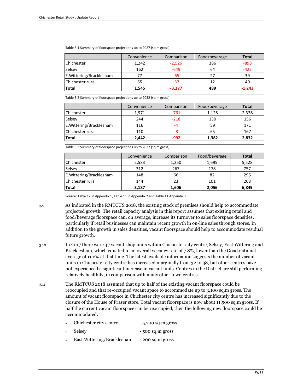|                          | Convenience | Comparison | Food/beverage | <b>Total</b> |
|--------------------------|-------------|------------|---------------|--------------|
| Chichester               | 1,242       | $-2,526$   | 386           | $-898$       |
| Selsey                   | 162         | $-649$     | 64            | $-423$       |
| E. Wittering/Bracklesham | 77          | -65        | 27            | 39           |
| Chichester rural         | 65          | -37        | 12            | 40           |
| Total                    | 1.545       | $-3.277$   | 489           | $-1.243$     |

Table 3.1 Summary of floorspace projections up to 2027 (sq.m gross)

Table 3.2 Summary of floorspace projections up to 2032 (sq.m gross)

|                          | Convenience | Comparison | Food/beverage | <b>Total</b> |
|--------------------------|-------------|------------|---------------|--------------|
| Chichester               | 1,971       | $-761$     | 1,128         | 2,338        |
| Selsey                   | 244         | $-218$     | 130           | 156          |
| E. Wittering/Bracklesham | 116         | -4         | 59            | 171          |
| Chichester rural         | 110         | -8         | 65            | 167          |
| <b>Total</b>             | 2.442       | -992       | 1,382         | 2,832        |

Table 3.3 Summary of floorspace projections up to 2037 (sq.m gross)

|                          | Convenience | Comparison | Food/beverage | <b>Total</b> |
|--------------------------|-------------|------------|---------------|--------------|
| Chichester               | 2,583       | 1,250      | 1,695         | 5,528        |
| Selsey                   | 312         | 267        | 178           | 757          |
| E. Wittering/Bracklesham | 148         | 66         | 82            | 296          |
| Chichester rural         | 144         | 23         | 101           | 268          |
| <b>Total</b>             | 3,187       | 1,606      | 2,056         | 6,849        |

Source: Table 12 in Appendix 1, Table 11 in Appendix 2 and Table 11 Appendix 3.

- 3.9 As indicated in the RMTCUS 2018, the existing stock of premises should help to accommodate projected growth. The retail capacity analysis in this report assumes that existing retail and food/beverage floorspace can, on average, increase its turnover to sales floorspace densities, particularly if retail businesses can maintain recent growth in on-line sales through stores. In addition to the growth in sales densities, vacant floorspace should help to accommodate residual future growth.
- 3.10 In 2017 there were 47 vacant shop units within Chichester city centre, Selsey, East Wittering and Bracklesham, which equated to an overall vacancy rate of 7.8%, lower than the Goad national average of 11.2% at that time. The latest available information suggests the number of vacant units in Chichester city centre has increased marginally from 32 to 38, but other centres have not experienced a significant increase in vacant units. Centres in the District are still performing relatively healthily, in comparison with many other town centres.
- 3.11 The RMTCUS 2018 assumed that up to half of the existing vacant floorspace could be reoccupied and that re-occupied vacant space to accommodate up to 3,100 sq.m gross. The amount of vacant floorspace in Chichester city centre has increased significantly due to the closure of the House of Fraser store. Total vacant floorspace is now about 11,500 sq.m gross. If half the current vacant floorspace can be reoccupied, then the following new floorspace could be accommodated:
	- Chichester city centre 5,700 sq.m gross
	- Selsey 500 sq.m gross
	- East Wittering/Bracklesham 200 sq.m gross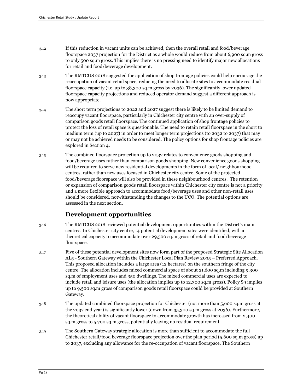- 3.12 If this reduction in vacant units can be achieved, then the overall retail and food/beverage floorspace 2037 projection for the District as a whole would reduce from about 6,900 sq.m gross to only 500 sq.m gross. This implies there is no pressing need to identify major new allocations for retail and food/beverage development.
- 3.13 The RMTCUS 2018 suggested the application of shop frontage policies could help encourage the reoccupation of vacant retail space, reducing the need to allocate sites to accommodate residual floorspace capacity (i.e. up to 38,300 sq.m gross by 2036). The significantly lower updated floorspace capacity projections and reduced operator demand suggest a different approach is now appropriate.
- 3.14 The short term projections to 2022 and 2027 suggest there is likely to be limited demand to reoccupy vacant floorspace, particularly in Chichester city centre with an over-supply of comparison goods retail floorspace. The continued application of shop frontage policies to protect the loss of retail space is questionable. The need to retain retail floorspace in the short to medium term (up to 2027) in order to meet longer term projections (to 2032 to 2037) that may or may not be achieved needs to be considered. The policy options for shop frontage policies are explored in Section 4.
- 3.15 The combined floorspace projection up to 2032 relates to convenience goods shopping and food/beverage uses rather than comparison goods shopping. New convenience goods shopping will be required to serve new residential developments in the form of local/ neighbourhood centres, rather than new uses focused in Chichester city centre. Some of the projected food/beverage floorspace will also be provided in these neighbourhood centres. The retention or expansion of comparison goods retail floorspace within Chichester city centre is not a priority and a more flexible approach to accommodate food/beverage uses and other non-retail uses should be considered, notwithstanding the changes to the UCO. The potential options are assessed in the next section.

### **Development opportunities**

- 3.16 The RMTCUS 2018 reviewed potential development opportunities within the District's main centres. In Chichester city centre, 14 potential development sites were identified, with a theoretical capacity to accommodate over 29,500 sq.m gross of retail and food/beverage floorspace.
- 3.17 Five of these potential development sites now form part of the proposed Strategic Site Allocation AL5 - Southern Gateway within the Chichester Local Plan Review 2035 – Preferred Approach. This proposed allocation includes a large area (12 hectares) on the southern fringe of the city centre. The allocation includes mixed commercial space of about 21,600 sq.m including 9,300 sq.m of employment uses and 350 dwellings. The mixed commercial uses are expected to include retail and leisure uses (the allocation implies up to 12,300 sq.m gross). Policy S9 implies up to 9,500 sq.m gross of comparison goods retail floorspace could be provided at Southern Gateway.
- 3.18 The updated combined floorspace projection for Chichester (not more than 5,600 sq.m gross at the 2037 end year) is significantly lower (down from 35,300 sq.m gross at 2036). Furthermore, the theoretical ability of vacant floorspace to accommodate growth has increased from 2,400 sq.m gross to 5,700 sq.m gross, potentially leaving no residual requirement.
- 3.19 The Southern Gateway strategic allocation is more than sufficient to accommodate the full Chichester retail/food beverage floorspace projection over the plan period (5,600 sq.m gross) up to 2037, excluding any allowance for the re-occupation of vacant floorspace. The Southern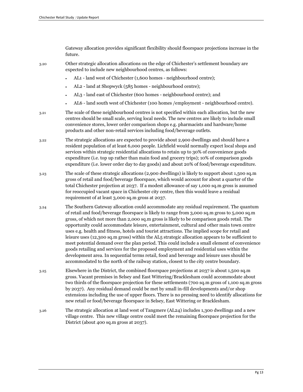Gateway allocation provides significant flexibility should floorspace projections increase in the future.

3.20 Other strategic allocation allocations on the edge of Chichester's settlement boundary are expected to include new neighbourhood centres, as follows:

- AL1 land west of Chichester (1,600 homes neighbourhood centre);
- AL2 land at Shopwyck (585 homes neighbourhood centre);
- AL3 land east of Chichester (600 homes neighbourhood centre); and
- AL6 land south west of Chichester (100 homes /employment neighbourhood centre).
- 3.21 The scale of these neighbourhood centres is not specified within each allocation, but the new centres should be small scale, serving local needs. The new centres are likely to include small convenience stores, lower order comparison shops e.g. pharmacists and hardware/home products and other non-retail services including food/beverage outlets.
- 3.22 The strategic allocations are expected to provide about 2,900 dwellings and should have a resident population of at least 6,000 people. Lichfield would normally expect local shops and services within strategic residential allocations to retain up to 30% of convenience goods expenditure (i.e. top up rather than main food and grocery trips); 10% of comparison goods expenditure (i.e. lower order day to day goods) and about 20% of food/beverage expenditure.
- 3.23 The scale of these strategic allocations (2,900 dwellings) is likely to support about 1,500 sq.m gross of retail and food/beverage floorspace, which would account for about a quarter of the total Chichester projection at 2037. If a modest allowance of say 1,000 sq.m gross is assumed for reoccupied vacant space in Chichester city centre, then this would leave a residual requirement of at least 3,000 sq.m gross at 2037.
- 3.24 The Southern Gateway allocation could accommodate any residual requirement. The quantum of retail and food/beverage floorspace is likely to range from 3,000 sq.m gross to 5,000 sq.m gross, of which not more than 2,000 sq.m gross is likely to be comparison goods retail. The opportunity could accommodate leisure, entertainment, cultural and other main town centre uses e.g. health and fitness, hotels and tourist attractions. The implied scope for retail and leisure uses (12,300 sq.m gross) within the AL5 strategic allocation appears to be sufficient to meet potential demand over the plan period. This could include a small element of convenience goods retailing and services for the proposed employment and residential uses within the development area. In sequential terms retail, food and beverage and leisure uses should be accommodated to the north of the railway station, closest to the city centre boundary.
- 3.25 Elsewhere in the District, the combined floorspace projections at 2037 is about 1,500 sq.m gross. Vacant premises in Selsey and East Wittering/Bracklesham could accommodate about two thirds of the floorspace projection for these settlements (700 sq.m gross of 1,100 sq.m gross by 2037). Any residual demand could be met by small in-fill developments and/or shop extensions including the use of upper floors. There is no pressing need to identify allocations for new retail or food/beverage floorspace in Selsey, East Wittering or Bracklesham.
- 3.26 The strategic allocation at land west of Tangmere (AL24) includes 1,300 dwellings and a new village centre. This new village centre could meet the remaining floorspace projection for the District (about 400 sq.m gross at 2037).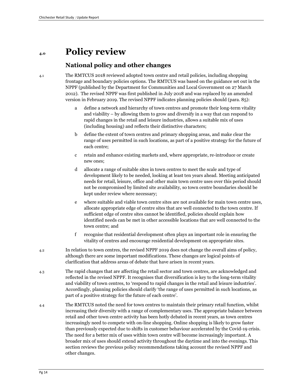### **4.0 Policy review**

#### **National policy and other changes**

4.1 The RMTCUS 2018 reviewed adopted town centre and retail policies, including shopping frontage and boundary policies options. The RMTCUS was based on the guidance set out in the NPPF (published by the Department for Communities and Local Government on 27 March 2012). The revised NPPF was first published in July 2018 and was replaced by an amended version in February 2019. The revised NPPF indicates planning policies should (para. 85):

- a define a network and hierarchy of town centres and promote their long-term vitality and viability – by allowing them to grow and diversify in a way that can respond to rapid changes in the retail and leisure industries, allows a suitable mix of uses (including housing) and reflects their distinctive characters;
- b define the extent of town centres and primary shopping areas, and make clear the range of uses permitted in such locations, as part of a positive strategy for the future of each centre;
- c retain and enhance existing markets and, where appropriate, re-introduce or create new ones;
- d allocate a range of suitable sites in town centres to meet the scale and type of development likely to be needed, looking at least ten years ahead. Meeting anticipated needs for retail, leisure, office and other main town centre uses over this period should not be compromised by limited site availability, so town centre boundaries should be kept under review where necessary;
- e where suitable and viable town centre sites are not available for main town centre uses, allocate appropriate edge of centre sites that are well connected to the town centre. If sufficient edge of centre sites cannot be identified, policies should explain how identified needs can be met in other accessible locations that are well connected to the town centre; and
- f recognise that residential development often plays an important role in ensuring the vitality of centres and encourage residential development on appropriate sites.
- 4.2 In relation to town centres, the revised NPPF 2019 does not change the overall aims of policy, although there are some important modifications. These changes are logical points of clarification that address areas of debate that have arisen in recent years.
- 4.3 The rapid changes that are affecting the retail sector and town centres, are acknowledged and reflected in the revised NPPF. It recognises that diversification is key to the long-term vitality and viability of town centres, to 'respond to rapid changes in the retail and leisure industries'. Accordingly, planning policies should clarify 'the range of uses permitted in such locations, as part of a positive strategy for the future of each centre'.
- 4.4 The RMTCUS noted the need for town centres to maintain their primary retail function, whilst increasing their diversity with a range of complementary uses. The appropriate balance between retail and other town centre activity has been hotly debated in recent years, as town centres increasingly need to compete with on-line shopping. Online shopping is likely to grow faster than previously expected due to shifts in customer behaviour accelerated by the Covid-19 crisis. The need for a better mix of uses within town centre will become increasingly important. A broader mix of uses should extend activity throughout the daytime and into the evenings. This section reviews the previous policy recommendations taking account the revised NPPF and other changes.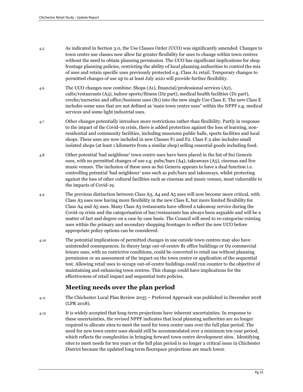- 4.5 As indicated in Section 3.0, the Use Classes Order (UCO) was significantly amended. Changes to town centre use classes now allow far greater flexibility for uses to change within town centres without the need to obtain planning permission. The UCO has significant implications for shop frontage planning policies, restricting the ability of local planning authorities to control the mix of uses and retain specific uses previously protected e.g. Class A1 retail. Temporary changes to permitted changes of use up to at least July 2021 will provide further flexibility.
- 4.6 The UCO changes now combine: Shops (A1), financial/professional services (A2), cafés/restaurants (A3), indoor sports/fitness (D2 part), medical health facilities (D1 part), creche/nurseries and office/business uses (B1) into the new single Use Class E. The new Class E includes some uses that are not defined as 'main town centre uses" within the NPPF e.g. medical services and some light industrial uses.
- 4.7 Other changes potentially introduce more restrictions rather than flexibility. Partly in response to the impact of the Covid-19 crisis, there is added protection against the loss of learning, nonresidential and community facilities, including museums public halls, sports facilities and local shops. These uses are now included in new Classes F1 and F2. Class F.2 also includes small isolated shops (at least 1 kilometre from a similar shop) selling essential goods including food.
- 4.8 Other potential 'bad neighbour' town centre uses have been placed in the list of Sui Generis uses, with no permitted changes of use e.g. pubs/bars (A4), takeaways (A5), cinemas and live music venues. The inclusion of these uses as Sui Generis appears to have a dual function i.e. controlling potential 'bad neighbour' uses such as pub/bars and takeaways, whilst protecting against the loss of other cultural facilities such as cinemas and music venues, most vulnerable to the impacts of Covid-19.
- 4.9 The previous distinction between Class A3, A4 and A5 uses will now become more critical, with Class A3 uses now having more flexibility in the new Class E, but more limited flexibility for Class A4 and A5 uses. Many Class A3 restaurants have offered a takeaway service during the Covid-19 crisis and the categorisation of bar/restaurants has always been arguable and will be a matter of fact and degree on a case by case basis. The Council will need to re-categorise existing uses within the primary and secondary shopping frontages to reflect the new UCO before appropriate policy options can be considered.
- 4.10 The potential implications of permitted changes in use outside town centres may also have unintended consequences. In theory large out-of-centre B1 office buildings or D2 commercial leisure uses, with no restrictive conditions, could be converted to retail use without planning permission or an assessment of the impact on the town centre or application of the sequential test. Allowing retail uses to occupy out-of-centre buildings could run counter to the objective of maintaining and enhancing town centres. This change could have implications for the effectiveness of retail impact and sequential tests policies.

### **Meeting needs over the plan period**

- 4.11 The Chichester Local Plan Review 2035 Preferred Approach was published in December 2018 (LPR 2018).
- 4.12 It is widely accepted that long-term projections have inherent uncertainties. In response to these uncertainties, the revised NPPF indicates that local planning authorities are no longer required to allocate sites to meet the need for town centre uses over the full plan period. The need for new town centre uses should still be accommodated over a minimum ten-year period, which reflects the complexities in bringing forward town centre development sites. Identifying sites to meet needs for ten years or the full plan period is no longer a critical issue in Chichester District because the updated long term floorspace projections are much lower.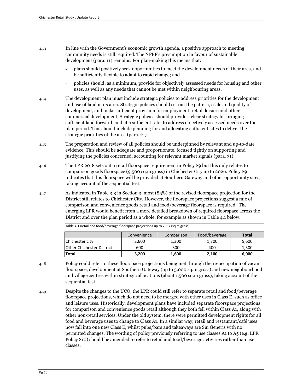- 4.13 In line with the Government's economic growth agenda, a positive approach to meeting community needs is still required. The NPPF's presumption in favour of sustainable development (para. 11) remains. For plan-making this means that:
	- plans should positively seek opportunities to meet the development needs of their area, and be sufficiently flexible to adapt to rapid change; and
	- policies should, as a minimum, provide for objectively assessed needs for housing and other uses, as well as any needs that cannot be met within neighbouring areas.
- 4.14 The development plan must include strategic policies to address priorities for the development and use of land in its area. Strategic policies should set out the pattern, scale and quality of development, and make sufficient provision for employment, retail, leisure and other commercial development. Strategic policies should provide a clear strategy for bringing sufficient land forward, and at a sufficient rate, to address objectively assessed needs over the plan period. This should include planning for and allocating sufficient sites to deliver the strategic priorities of the area (para. 21).
- 4.15 The preparation and review of all policies should be underpinned by relevant and up-to-date evidence. This should be adequate and proportionate, focused tightly on supporting and justifying the policies concerned, accounting for relevant market signals (para. 31).
- 4.16 The LPR 2018 sets out a retail floorspace requirement in Policy S9 but this only relates to comparison goods floorspace (9,500 sq.m gross) in Chichester City up to 2026. Policy S9 indicates that this floorspace will be provided at Southern Gateway and other opportunity sites, taking account of the sequential test.
- 4.17 As indicated in Table 3.3 in Section 3, most (85%) of the revised floorspace projection for the District still relates to Chichester City. However, the floorspace projections suggest a mix of comparison and convenience goods retail and food/beverage floorspace is required. The emerging LPR would benefit from a more detailed breakdown of required floorspace across the District and over the plan period as a whole, for example as shown in Table 4.1 below.

|                                  | Convenience | Comparison | Food/beverage | <b>Total</b> |
|----------------------------------|-------------|------------|---------------|--------------|
| Chichester city                  | 2,600       | 1.300      | 1.700         | 5,600        |
| <b>Other Chichester District</b> | 600         | 300        | 400           | 1.300        |
| <b>Total</b>                     | 3.200       | 1.600      | 2.100         | 6.900        |

Table 4.1 Retail and food/beverage floorspace projections up to 2037 (sq.m gross)

- 4.18 Policy could refer to these floorspace projections being met through the re-occupation of vacant floorspace, development at Southern Gateway (up to 5,000 sq.m gross) and new neighbourhood and village centres within strategic allocations (about 1,500 sq.m gross), taking account of the sequential test.
- 4.19 Despite the changes to the UCO, the LPR could still refer to separate retail and food/beverage floorspace projections, which do not need to be merged with other uses in Class E, such as office and leisure uses. Historically, development plans have included separate floorspace projections for comparison and convenience goods retail although they both fell within Class A1, along with other non-retail services. Under the old system, there were permitted development rights for all food and beverage uses to change to Class A1. In a similar way, retail and restaurant/café uses now fall into one new Class E, whilst pubs/bars and takeaways are Sui Generis with no permitted changes. The wording of policy previously referring to use classes A1 to A5 (e.g. LPR Policy S10) should be amended to refer to retail and food/beverage activities rather than use classes.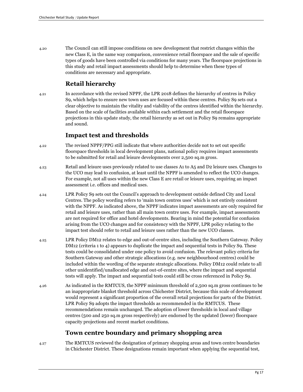4.20 The Council can still impose conditions on new development that restrict changes within the new Class E, in the same way comparison, convenience retail floorspace and the sale of specific types of goods have been controlled via conditions for many years. The floorspace projections in this study and retail impact assessments should help to determine when these types of conditions are necessary and appropriate.

#### **Retail hierarchy**

4.21 In accordance with the revised NPPF, the LPR 2018 defines the hierarchy of centres in Policy S9, which helps to ensure new town uses are focused within these centres. Policy S9 sets out a clear objective to maintain the vitality and viability of the centres identified within the hierarchy. Based on the scale of facilities available within each settlement and the retail floorspace projections in this update study, the retail hierarchy as set out in Policy S9 remains appropriate and sound.

#### **Impact test and thresholds**

- 4.22 The revised NPPF/PPG still indicate that where authorities decide not to set out specific floorspace thresholds in local development plans, national policy requires impact assessments to be submitted for retail and leisure developments over 2,500 sq.m gross.
- 4.23 Retail and leisure uses previously related to use classes A1 to A5 and D2 leisure uses. Changes to the UCO may lead to confusion, at least until the NPPF is amended to reflect the UCO changes. For example, not all uses within the new Class E are retail or leisure uses, requiring an impact assessment i.e. offices and medical uses.
- 4.24 LPR Policy S9 sets out the Council's approach to development outside defined City and Local Centres. The policy wording refers to 'main town centres uses' which is not entirely consistent with the NPPF. As indicated above, the NPPF indicates impact assessments are only required for retail and leisure uses, rather than all main town centre uses. For example, impact assessments are not required for office and hotel developments. Bearing in mind the potential for confusion arising from the UCO changes and for consistency with the NPPF, LPR policy relating to the impact test should refer to retail and leisure uses rather than the new UCO classes.
- 4.25 LPR Policy DM12 relates to edge and out-of-centre sites, including the Southern Gateway. Policy DM12 (criteria 1 to 4) appears to duplicate the impact and sequential tests in Policy S9. These tests could be consolidated under one policy to avoid confusion. The relevant policy criteria for Southern Gateway and other strategic allocations (e.g. new neighbourhood centres) could be included within the wording of the separate strategic allocations. Policy DM12 could relate to all other unidentified/unallocated edge and out-of-centre sites, where the impact and sequential tests will apply. The impact and sequential tests could still be cross referenced in Policy S9.
- 4.26 As indicated in the RMTCUS, the NPPF minimum threshold of 2,500 sq.m gross continues to be an inappropriate blanket threshold across Chichester District, because this scale of development would represent a significant proportion of the overall retail projections for parts of the District. LPR Policy S9 adopts the impact thresholds as recommended in the RMTCUS. These recommendations remain unchanged. The adoption of lower thresholds in local and village centres (500 and 250 sq.m gross respectively) are endorsed by the updated (lower) floorspace capacity projections and recent market conditions.

#### **Town centre boundary and primary shopping area**

4.27 The RMTCUS reviewed the designation of primary shopping areas and town centre boundaries in Chichester District. These designations remain important when applying the sequential test,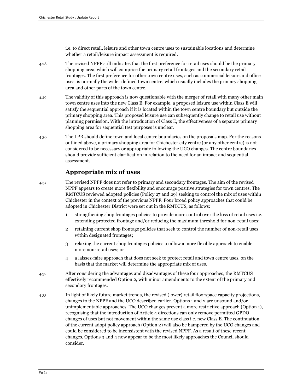i.e. to direct retail, leisure and other town centre uses to sustainable locations and determine whether a retail/leisure impact assessment is required.

- 4.28 The revised NPPF still indicates that the first preference for retail uses should be the primary shopping area, which will comprise the primary retail frontages and the secondary retail frontages. The first preference for other town centre uses, such as commercial leisure and office uses, is normally the wider defined town centre, which usually includes the primary shopping area and other parts of the town centre.
- 4.29 The validity of this approach is now questionable with the merger of retail with many other main town centre uses into the new Class E. For example, a proposed leisure use within Class E will satisfy the sequential approach if it is located within the town centre boundary but outside the primary shopping area. This proposed leisure use can subsequently change to retail use without planning permission. With the introduction of Class E, the effectiveness of a separate primary shopping area for sequential test purposes is unclear.
- 4.30 The LPR should define town and local centre boundaries on the proposals map. For the reasons outlined above, a primary shopping area for Chichester city centre (or any other centre) is not considered to be necessary or appropriate following the UCO changes. The centre boundaries should provide sufficient clarification in relation to the need for an impact and sequential assessment.

#### **Appropriate mix of uses**

- 4.31 The revised NPPF does not refer to primary and secondary frontages. The aim of the revised NPPF appears to create more flexibility and encourage positive strategies for town centres. The RMTCUS reviewed adopted policies (Policy 27 and 29) seeking to control the mix of uses within Chichester in the context of the previous NPPF. Four broad policy approaches that could be adopted in Chichester District were set out in the RMTCUS, as follows:
	- 1 strengthening shop frontages policies to provide more control over the loss of retail uses i.e. extending protected frontage and/or reducing the maximum threshold for non-retail uses;
	- 2 retaining current shop frontage policies that seek to control the number of non-retail uses within designated frontages;
	- 3 relaxing the current shop frontages policies to allow a more flexible approach to enable more non-retail uses; or
	- 4 a laissez-faire approach that does not seek to protect retail and town centre uses, on the basis that the market will determine the appropriate mix of uses.
- 4.32 After considering the advantages and disadvantages of these four approaches, the RMTCUS effectively recommended Option 2, with minor amendments to the extent of the primary and secondary frontages.
- 4.33 In light of likely future market trends, the revised (lower) retail floorspace capacity projections, changes to the NPPF and the UCO described earlier, Options 1 and 2 are unsound and/or unimplementable approaches. The UCO changes prevent a more restrictive approach (Option 1), recognising that the introduction of Article 4 directions can only remove permitted GPDO changes of uses but not movement within the same use class i.e. new Class E. The continuation of the current adopt policy approach (Option 2) will also be hampered by the UCO changes and could be considered to be inconsistent with the revised NPPF. As a result of these recent changes, Options 3 and 4 now appear to be the most likely approaches the Council should consider.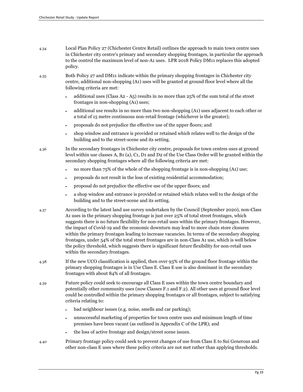| 4.34 | Local Plan Policy 27 (Chichester Centre Retail) outlines the approach to main town centre uses   |
|------|--------------------------------------------------------------------------------------------------|
|      | in Chichester city centre's primary and secondary shopping frontages, in particular the approach |
|      | to the control the maximum level of non-A1 uses. LPR 2018 Policy DM11 replaces this adopted      |
|      | policy.                                                                                          |

4.35 Both Policy 27 and DM11 indicate within the primary shopping frontages in Chichester city centre, additional non-shopping (A1) uses will be granted at ground floor level where all the following criteria are met:

- additional uses (Class A2 A5) results in no more than  $25\%$  of the sum total of the street frontages in non-shopping (A1) uses;
- additional use results in no more than two non-shopping (A1) uses adjacent to each other or a total of 15 metre continuous non-retail frontage (whichever is the greater);
- proposals do not prejudice the effective use of the upper floors; and
- shop window and entrance is provided or retained which relates well to the design of the building and to the street-scene and its setting.

4.36 In the secondary frontages in Chichester city centre, proposals for town centres uses at ground level within use classes A, B1 (a), C1, D1 and D2 of the Use Class Order will be granted within the secondary shopping frontages where all the following criteria are met:

- no more than 75% of the whole of the shopping frontage is in non-shopping (A1) use;
- proposals do not result in the loss of existing residential accommodation;
- proposal do not prejudice the effective use of the upper floors; and
- a shop window and entrance is provided or retained which relates well to the design of the building and to the street-scene and its setting.
- 4.37 According to the latest land use survey undertaken by the Council (September 2020), non-Class A1 uses in the primary shopping frontage is just over 25% of total street frontages, which suggests there is no future flexibility for non-retail uses within the primary frontages. However, the impact of Covid-19 and the economic downturn may lead to more chain store closures within the primary frontages leading to increase vacancies. In terms of the secondary shopping frontages, under 54% of the total street frontages are in non-Class A1 use, which is well below the policy threshold, which suggests there is significant future flexibility for non-retail uses within the secondary frontages.
- 4.38 If the new UCO classification is applied, then over 93% of the ground floor frontage within the primary shopping frontages is in Use Class E. Class E use is also dominant in the secondary frontages with about 84% of all frontages.
- 4.39 Future policy could seek to encourage all Class E uses within the town centre boundary and potentially other community uses (now Classes F.1 and F.2). All other uses at ground floor level could be controlled within the primary shopping frontages or all frontages, subject to satisfying criteria relating to:
	- bad neighbour issues (e.g. noise, smells and car parking);
	- unsuccessful marketing of properties for town centre uses and minimum length of time premises have been vacant (as outlined in Appendix C of the LPR); and
	- the loss of active frontage and design/street scene issues.
- 4.40 Primary frontage policy could seek to prevent changes of use from Class E to Sui Generous and other non-class E uses where these policy criteria are not met rather than applying thresholds.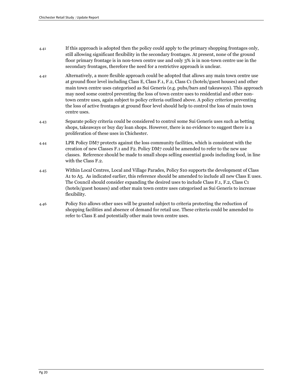- 4.41 If this approach is adopted then the policy could apply to the primary shopping frontages only, still allowing significant flexibility in the secondary frontages. At present, none of the ground floor primary frontage is in non-town centre use and only 3% is in non-town centre use in the secondary frontages, therefore the need for a restrictive approach is unclear.
- 4.42 Alternatively, a more flexible approach could be adopted that allows any main town centre use at ground floor level including Class E, Class F.1, F.2, Class C1 (hotels/guest houses) and other main town centre uses categorised as Sui Generis (e.g. pubs/bars and takeaways). This approach may need some control preventing the loss of town centre uses to residential and other nontown centre uses, again subject to policy criteria outlined above. A policy criterion preventing the loss of active frontages at ground floor level should help to control the loss of main town centre uses.
- 4.43 Separate policy criteria could be considered to control some Sui Generis uses such as betting shops, takeaways or buy day loan shops. However, there is no evidence to suggest there is a proliferation of these uses in Chichester.
- 4.44 LPR Policy DM7 protects against the loss community facilities, which is consistent with the creation of new Classes F.1 and F2. Policy DM7 could be amended to refer to the new use classes. Reference should be made to small shops selling essential goods including food, in line with the Class F.2.
- 4.45 Within Local Centres, Local and Village Parades, Policy S10 supports the development of Class A1 to A5. As indicated earlier, this reference should be amended to include all new Class E uses. The Council should consider expanding the desired uses to include Class F.1, F.2, Class C1 (hotels/guest houses) and other main town centre uses categorised as Sui Generis to increase flexibility.
- 4.46 Policy S10 allows other uses will be granted subject to criteria protecting the reduction of shopping facilities and absence of demand for retail use. These criteria could be amended to refer to Class E and potentially other main town centre uses.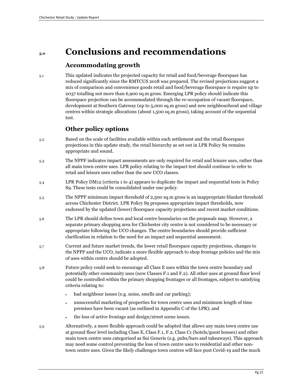### **5.0 Conclusions and recommendations**

#### **Accommodating growth**

5.1 This updated indicates the projected capacity for retail and food/beverage floorspace has reduced significantly since the RMTCUS 2018 was prepared. The revised projections suggest a mix of comparison and convenience goods retail and food/beverage floorspace is require up to 2037 totalling not more than 6,900 sq.m gross. Emerging LPR policy should indicate this floorspace projection can be accommodated through the re-occupation of vacant floorspace, development at Southern Gateway (up to 5,000 sq.m gross) and new neighbourhood and village centres within strategic allocations (about 1,500 sq.m gross), taking account of the sequential test.

#### **Other policy options**

- 5.2 Based on the scale of facilities available within each settlement and the retail floorspace projections in this update study, the retail hierarchy as set out in LPR Policy S9 remains appropriate and sound.
- 5.3 The NPPF indicates impact assessments are only required for retail and leisure uses, rather than all main town centre uses. LPR policy relating to the impact test should continue to refer to retail and leisure uses rather than the new UCO classes.
- 5.4 LPR Policy DM12 (criteria 1 to 4) appears to duplicate the impact and sequential tests in Policy S9. These tests could be consolidated under one policy.
- 5.5 The NPPF minimum impact threshold of 2,500 sq.m gross is an inappropriate blanket threshold across Chichester District. LPR Policy S9 proposes appropriate impact thresholds, now endorsed by the updated (lower) floorspace capacity projections and recent market conditions.
- 5.6 The LPR should define town and local centre boundaries on the proposals map. However, a separate primary shopping area for Chichester city centre is not considered to be necessary or appropriate following the UCO changes. The centre boundaries should provide sufficient clarification in relation to the need for an impact and sequential assessment.
- 5.7 Current and future market trends, the lower retail floorspace capacity projections, changes to the NPPF and the UCO, indicate a more flexible approach to shop frontage policies and the mix of uses within centre should be adopted.
- 5.8 Future policy could seek to encourage all Class E uses within the town centre boundary and potentially other community uses (now Classes F.1 and F.2). All other uses at ground floor level could be controlled within the primary shopping frontages or all frontages, subject to satisfying criteria relating to:
	- bad neighbour issues (e.g. noise, smells and car parking);
	- unsuccessful marketing of properties for town centre uses and minimum length of time premises have been vacant (as outlined in Appendix C of the LPR); and
	- the loss of active frontage and design/street scene issues.
- 5.9 Alternatively, a more flexible approach could be adopted that allows any main town centre use at ground floor level including Class E, Class F.1, F.2, Class C1 (hotels/guest houses) and other main town centre uses categorised as Sui Generis (e.g. pubs/bars and takeaways). This approach may need some control preventing the loss of town centre uses to residential and other nontown centre uses. Given the likely challenges town centres will face post Covid-19 and the much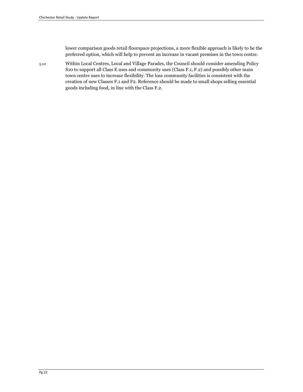lower comparison goods retail floorspace projections, a more flexible approach is likely to be the preferred option, which will help to prevent an increase in vacant premises in the town centre.

5.10 Within Local Centres, Local and Village Parades, the Council should consider amending Policy S10 to support all Class E uses and community uses (Class F.1, F.2) and possibly other main town centre uses to increase flexibility. The loss community facilities is consistent with the creation of new Classes F.1 and F2. Reference should be made to small shops selling essential goods including food, in line with the Class F.2.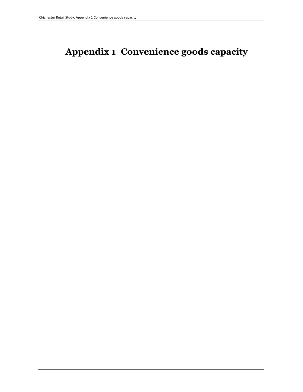# **Appendix 1 Convenience goods capacity**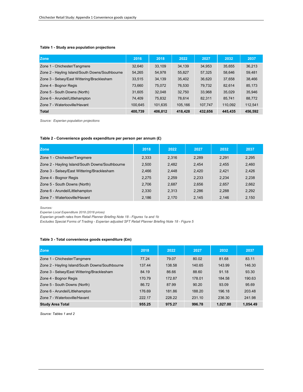#### **Table 1 - Study area population projections**

| <b>Zone</b>                                     | 2016    | 2018    | 2022    | 2027    | 2032    | 2037    |
|-------------------------------------------------|---------|---------|---------|---------|---------|---------|
| Zone 1 - Chichester/Tangmere                    | 32.640  | 33,109  | 34,139  | 34,953  | 35,655  | 36,213  |
| Zone 2 - Hayling Island/South Downs/Southbourne | 54,265  | 54,978  | 55,827  | 57,325  | 58,646  | 59,481  |
| Zone 3 - Selsey/East Wittering/Bracklesham      | 33,515  | 34,139  | 35,402  | 36,620  | 37,658  | 38,466  |
| Zone 4 - Bognor Regis                           | 73,660  | 75.072  | 76,530  | 79,732  | 82.614  | 85,173  |
| Zone 5 - South Downs (North)                    | 31.605  | 32,048  | 32,750  | 33,968  | 35,029  | 35,946  |
| Zone 6 - Arundel/Littlehampton                  | 74.409  | 75,832  | 78.614  | 82,311  | 85,741  | 88,772  |
| Zone 7 - Waterlooville/Havant                   | 100,645 | 101,635 | 105,166 | 107,747 | 110,092 | 112,541 |
| <b>Total</b>                                    | 400,739 | 406,812 | 418,428 | 432,656 | 445,435 | 456,592 |

*Source: Experian population projections*

#### **Table 2 - Convenience goods expenditure per person per annum (£)**

| <b>Zone</b>                                     | 2018  | 2022  | 2027  | 2032  | 2037  |
|-------------------------------------------------|-------|-------|-------|-------|-------|
| Zone 1 - Chichester/Tangmere                    | 2,333 | 2.316 | 2.289 | 2.291 | 2,295 |
| Zone 2 - Hayling Island/South Downs/Southbourne | 2,500 | 2.482 | 2.454 | 2.455 | 2,460 |
| Zone 3 - Selsey/East Wittering/Bracklesham      | 2,466 | 2.448 | 2.420 | 2.421 | 2.426 |
| Zone 4 - Bognor Regis                           | 2.275 | 2.259 | 2.233 | 2,234 | 2,238 |
| Zone 5 - South Downs (North)                    | 2,706 | 2,687 | 2,656 | 2,657 | 2,662 |
| Zone 6 - Arundel/Littlehampton                  | 2.330 | 2.313 | 2.286 | 2.288 | 2.292 |
| Zone 7 - Waterlooville/Havant                   | 2.186 | 2.170 | 2.145 | 2.146 | 2.150 |

*Sources:* 

*Experian Local Expenditure 2018 (2018 prices)*

*Experian growth rates from Retail Planner Briefing Note 18 - Figures 1a and 1b*

*Excludes Special Forms of Trading - Experian adjusted SFT Retail Planner Briefing Note 18 - Figure 5*

#### **Table 3 - Total convenience goods expenditure (£m)**

| <b>Zone</b>                                     | 2018   | 2022   | 2027   | 2032     | 2037     |
|-------------------------------------------------|--------|--------|--------|----------|----------|
| Zone 1 - Chichester/Tangmere                    | 77.24  | 79.07  | 80.02  | 81.68    | 83.11    |
| Zone 2 - Hayling Island/South Downs/Southbourne | 137.44 | 138.58 | 140.65 | 143.99   | 146.30   |
| Zone 3 - Selsey/East Wittering/Bracklesham      | 84.19  | 86.66  | 88.60  | 91.18    | 93.30    |
| Zone 4 - Bognor Regis                           | 170.79 | 172.87 | 178.01 | 184.58   | 190.63   |
| Zone 5 - South Downs (North)                    | 86.72  | 87.99  | 90.20  | 93.09    | 95.69    |
| Zone 6 - Arundel/Littlehampton                  | 176.69 | 181.86 | 188.20 | 196.18   | 203.48   |
| Zone 7 - Waterlooville/Havant                   | 222.17 | 228.22 | 231.10 | 236.30   | 241.98   |
| <b>Study Area Total</b>                         | 955.25 | 975.27 | 996.78 | 1.027.00 | 1.054.49 |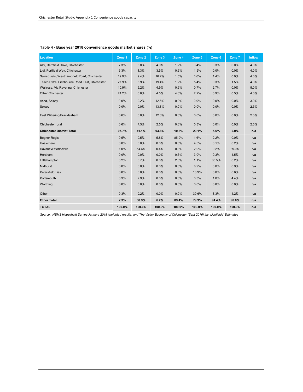| Location                                      | Zone 1 | Zone 2  | Zone 3 | Zone 4 | Zone 5 | Zone 6 | Zone 7 | <b>Inflow</b> |
|-----------------------------------------------|--------|---------|--------|--------|--------|--------|--------|---------------|
| Aldi, Barnfield Drive, Chichester             | 7.3%   | 3.8%    | 4.9%   | 1.2%   | 3.4%   | 0.3%   | 0.0%   | 4.0%          |
| Lidl, Portfield Way, Chichester               | 6.3%   | 1.3%    | 3.5%   | 0.6%   | 1.5%   | 0.0%   | 0.0%   | 4.0%          |
| Sainsbury's, Westhampnett Road, Chichester    | 19.9%  | 9.4%    | 16.2%  | 1.5%   | 6.6%   | 1.4%   | 0.0%   | 4.0%          |
| Tesco Extra, Fishbourne Road East, Chichester | 27.9%  | 6.9%    | 19.4%  | 1.2%   | 5.4%   | 0.3%   | 1.5%   | 4.0%          |
| Waitrose, Via Ravenna, Chichester             | 10.9%  | 5.2%    | 4.9%   | 0.9%   | 0.7%   | 2.7%   | 0.0%   | 5.0%          |
| <b>Other Chichester</b>                       | 24.2%  | 6.8%    | 4.5%   | 4.6%   | 2.2%   | 0.9%   | 0.5%   | 4.0%          |
| Asda, Selsey                                  | 0.0%   | 0.2%    | 12.6%  | 0.0%   | 0.0%   | 0.0%   | 0.0%   | 3.0%          |
| Selsey                                        | 0.0%   | 0.0%    | 13.3%  | 0.0%   | 0.0%   | 0.0%   | 0.0%   | 2.5%          |
| East Wittering/Bracklesham                    | 0.6%   | 0.0%    | 12.0%  | 0.0%   | 0.0%   | 0.0%   | 0.0%   | 2.5%          |
| Chichester rural                              | 0.6%   | 7.5%    | 2.5%   | 0.6%   | 0.3%   | 0.0%   | 0.0%   | 2.5%          |
| <b>Chichester District Total</b>              | 97.7%  | 41.1%   | 93.8%  | 10.6%  | 20.1%  | 5.6%   | 2.0%   | n/a           |
| <b>Bognor Regis</b>                           | 0.5%   | 0.5%    | 5.8%   | 85.9%  | 1.6%   | 2.2%   | 0.0%   | n/a           |
| Haslemere                                     | 0.0%   | 0.0%    | 0.0%   | 0.0%   | 4.5%   | 0.1%   | 0.2%   | n/a           |
| Havant/Waterlooville                          | 1.0%   | 54.6%   | 0.4%   | 0.3%   | 2.0%   | 0.2%   | 89.0%  | n/a           |
| Horsham                                       | 0.0%   | $0.0\%$ | 0.0%   | 0.6%   | 3.0%   | 0.3%   | 1.5%   | n/a           |
| Littlehampton                                 | 0.2%   | 0.7%    | 0.0%   | 2.3%   | 1.1%   | 80.5%  | 0.2%   | n/a           |
| Midhurst                                      | 0.0%   | 0.0%    | 0.0%   | 0.0%   | 8.9%   | 0.0%   | 0.9%   | n/a           |
| Petersfield/Liss                              | 0.0%   | 0.0%    | 0.0%   | 0.0%   | 18.9%  | 0.0%   | 0.6%   | n/a           |
| Portsmouth                                    | 0.3%   | 2.9%    | 0.0%   | 0.3%   | 0.3%   | 1.0%   | 4.4%   | n/a           |
| Worthing                                      | 0.0%   | 0.0%    | 0.0%   | 0.0%   | 0.0%   | 6.8%   | 0.0%   | n/a           |
| Other                                         | 0.3%   | 0.2%    | 0.0%   | 0.0%   | 39.6%  | 3.3%   | 1.2%   | n/a           |
| <b>Other Total</b>                            | 2.3%   | 58.9%   | 6.2%   | 89.4%  | 79.9%  | 94.4%  | 98.0%  | n/a           |
| <b>TOTAL</b>                                  | 100.0% | 100.0%  | 100.0% | 100.0% | 100.0% | 100.0% | 100.0% | n/a           |

#### **Table 4 - Base year 2018 convenience goods market shares (%)**

*Source: NEMS Household Survey January 2018 (weighted results) and The Visitor Economy of Chichester (Sept 2016) inc. Lichfields' Estimates*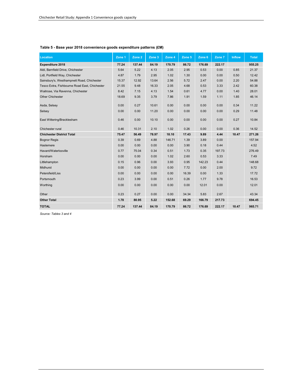| <b>Location</b>                               | Zone 1 | Zone 2 | Zone 3 | Zone 4 | Zone 5 | Zone 6 | Zone 7 | <b>Inflow</b> | <b>Total</b> |
|-----------------------------------------------|--------|--------|--------|--------|--------|--------|--------|---------------|--------------|
| Expenditure 2018                              | 77.24  | 137.44 | 84.19  | 170.79 | 86.72  | 176.69 | 222.17 |               | 955.25       |
| Aldi, Barnfield Drive, Chichester             | 5.64   | 5.22   | 4.13   | 2.05   | 2.95   | 0.53   | 0.00   | 0.85          | 21.37        |
| Lidl, Portfield Way, Chichester               | 4.87   | 1.79   | 2.95   | 1.02   | 1.30   | 0.00   | 0.00   | 0.50          | 12.42        |
| Sainsbury's, Westhampnett Road, Chichester    | 15.37  | 12.92  | 13.64  | 2.56   | 5.72   | 2.47   | 0.00   | 2.20          | 54.88        |
| Tesco Extra, Fishbourne Road East, Chichester | 21.55  | 9.48   | 16.33  | 2.05   | 4.68   | 0.53   | 3.33   | 2.42          | 60.38        |
| Waitrose, Via Ravenna, Chichester             | 8.42   | 7.15   | 4.13   | 1.54   | 0.61   | 4.77   | 0.00   | 1.40          | 28.01        |
| <b>Other Chichester</b>                       | 18.69  | 9.35   | 3.79   | 7.86   | 1.91   | 1.59   | 1.11   | 1.85          | 46.14        |
| Asda, Selsey                                  | 0.00   | 0.27   | 10.61  | 0.00   | 0.00   | 0.00   | 0.00   | 0.34          | 11.22        |
| Selsey                                        | 0.00   | 0.00   | 11.20  | 0.00   | 0.00   | 0.00   | 0.00   | 0.29          | 11.48        |
| East Wittering/Bracklesham                    | 0.46   | 0.00   | 10.10  | 0.00   | 0.00   | 0.00   | 0.00   | 0.27          | 10.84        |
| Chichester rural                              | 0.46   | 10.31  | 2.10   | 1.02   | 0.26   | 0.00   | 0.00   | 0.36          | 14.52        |
| <b>Chichester District Total</b>              | 75.47  | 56.49  | 78.97  | 18.10  | 17.43  | 9.89   | 4.44   | 10.47         | 271.26       |
| <b>Bognor Regis</b>                           | 0.39   | 0.69   | 4.88   | 146.71 | 1.39   | 3.89   | 0.00   |               | 157.94       |
| Haslemere                                     | 0.00   | 0.00   | 0.00   | 0.00   | 3.90   | 0.18   | 0.44   |               | 4.52         |
| Havant/Waterlooville                          | 0.77   | 75.04  | 0.34   | 0.51   | 1.73   | 0.35   | 197.73 |               | 276.49       |
| Horsham                                       | 0.00   | 0.00   | 0.00   | 1.02   | 2.60   | 0.53   | 3.33   |               | 7.49         |
| Littlehampton                                 | 0.15   | 0.96   | 0.00   | 3.93   | 0.95   | 142.23 | 0.44   |               | 148.68       |
| <b>Midhurst</b>                               | 0.00   | 0.00   | 0.00   | 0.00   | 7.72   | 0.00   | 2.00   |               | 9.72         |
| Petersfield/Liss                              | 0.00   | 0.00   | 0.00   | 0.00   | 16.39  | 0.00   | 1.33   |               | 17.72        |
| Portsmouth                                    | 0.23   | 3.99   | 0.00   | 0.51   | 0.26   | 1.77   | 9.78   |               | 16.53        |
| Worthing                                      | 0.00   | 0.00   | 0.00   | 0.00   | 0.00   | 12.01  | 0.00   |               | 12.01        |
| Other                                         | 0.23   | 0.27   | 0.00   | 0.00   | 34.34  | 5.83   | 2.67   |               | 43.34        |
| <b>Other Total</b>                            | 1.78   | 80.95  | 5.22   | 152.68 | 69.29  | 166.79 | 217.73 |               | 694.45       |
| <b>TOTAL</b>                                  | 77.24  | 137.44 | 84.19  | 170.79 | 86.72  | 176.69 | 222.17 | 10.47         | 965.71       |

#### **Table 5 - Base year 2018 convenience goods expenditure patterns (£M)**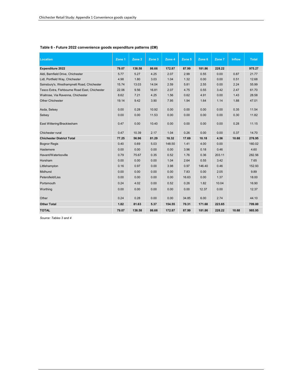| Table 6 - Future 2022 convenience goods expenditure patterns (£M) |  |  |  |  |
|-------------------------------------------------------------------|--|--|--|--|
|-------------------------------------------------------------------|--|--|--|--|

| Location                                      | Zone 1 | Zone 2 | Zone 3 | Zone 4 | Zone 5 | Zone 6 | Zone 7 | <b>Inflow</b> | <b>Total</b> |
|-----------------------------------------------|--------|--------|--------|--------|--------|--------|--------|---------------|--------------|
| <b>Expenditure 2022</b>                       | 79.07  | 138.58 | 86.66  | 172.87 | 87.99  | 181.86 | 228.22 |               | 975.27       |
| Aldi, Barnfield Drive, Chichester             | 5.77   | 5.27   | 4.25   | 2.07   | 2.99   | 0.55   | 0.00   | 0.87          | 21.77        |
| Lidl, Portfield Way, Chichester               | 4.98   | 1.80   | 3.03   | 1.04   | 1.32   | 0.00   | 0.00   | 0.51          | 12.68        |
| Sainsbury's, Westhampnett Road, Chichester    | 15.74  | 13.03  | 14.04  | 2.59   | 5.81   | 2.55   | 0.00   | 2.24          | 55.99        |
| Tesco Extra, Fishbourne Road East, Chichester | 22.06  | 9.56   | 16.81  | 2.07   | 4.75   | 0.55   | 3.42   | 2.47          | 61.70        |
| Waitrose, Via Ravenna, Chichester             | 8.62   | 7.21   | 4.25   | 1.56   | 0.62   | 4.91   | 0.00   | 1.43          | 28.58        |
| <b>Other Chichester</b>                       | 19.14  | 9.42   | 3.90   | 7.95   | 1.94   | 1.64   | 1.14   | 1.88          | 47.01        |
| Asda, Selsey                                  | 0.00   | 0.28   | 10.92  | 0.00   | 0.00   | 0.00   | 0.00   | 0.35          | 11.54        |
| Selsey                                        | 0.00   | 0.00   | 11.53  | 0.00   | 0.00   | 0.00   | 0.00   | 0.30          | 11.82        |
| East Wittering/Bracklesham                    | 0.47   | 0.00   | 10.40  | 0.00   | 0.00   | 0.00   | 0.00   | 0.28          | 11.15        |
| Chichester rural                              | 0.47   | 10.39  | 2.17   | 1.04   | 0.26   | 0.00   | 0.00   | 0.37          | 14.70        |
| <b>Chichester District Total</b>              | 77.25  | 56.96  | 81.29  | 18.32  | 17.69  | 10.18  | 4.56   | 10.68         | 276.95       |
| <b>Bognor Regis</b>                           | 0.40   | 0.69   | 5.03   | 148.50 | 1.41   | 4.00   | 0.00   |               | 160.02       |
| Haslemere                                     | 0.00   | 0.00   | 0.00   | 0.00   | 3.96   | 0.18   | 0.46   |               | 4.60         |
| Havant/Waterlooville                          | 0.79   | 75.67  | 0.35   | 0.52   | 1.76   | 0.36   | 203.11 |               | 282.56       |
| Horsham                                       | 0.00   | 0.00   | 0.00   | 1.04   | 2.64   | 0.55   | 3.42   |               | 7.65         |
| Littlehampton                                 | 0.16   | 0.97   | 0.00   | 3.98   | 0.97   | 146.40 | 0.46   |               | 152.93       |
| <b>Midhurst</b>                               | 0.00   | 0.00   | 0.00   | 0.00   | 7.83   | 0.00   | 2.05   |               | 9.89         |
| Petersfield/Liss                              | 0.00   | 0.00   | 0.00   | 0.00   | 16.63  | 0.00   | 1.37   |               | 18.00        |
| Portsmouth                                    | 0.24   | 4.02   | 0.00   | 0.52   | 0.26   | 1.82   | 10.04  |               | 16.90        |
| Worthing                                      | 0.00   | 0.00   | 0.00   | 0.00   | 0.00   | 12.37  | 0.00   |               | 12.37        |
| Other                                         | 0.24   | 0.28   | 0.00   | 0.00   | 34.85  | 6.00   | 2.74   |               | 44.10        |
| <b>Other Total</b>                            | 1.82   | 81.63  | 5.37   | 154.55 | 70.31  | 171.68 | 223.65 |               | 709.00       |
| <b>TOTAL</b>                                  | 79.07  | 138.58 | 86.66  | 172.87 | 87.99  | 181.86 | 228.22 | 10.68         | 985.95       |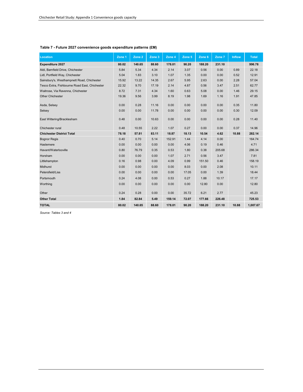| <b>Location</b>                               | Zone 1 | Zone 2 | Zone 3 | Zone 4 | Zone 5 | Zone 6 | Zone 7 | <b>Inflow</b> | <b>Total</b> |
|-----------------------------------------------|--------|--------|--------|--------|--------|--------|--------|---------------|--------------|
| <b>Expenditure 2027</b>                       | 80.02  | 140.65 | 88.60  | 178.01 | 90.20  | 188.20 | 231.10 |               | 996.78       |
| Aldi. Barnfield Drive. Chichester             | 5.84   | 5.34   | 4.34   | 2.14   | 3.07   | 0.56   | 0.00   | 0.89          | 22.18        |
| Lidl, Portfield Way, Chichester               | 5.04   | 1.83   | 3.10   | 1.07   | 1.35   | 0.00   | 0.00   | 0.52          | 12.91        |
| Sainsbury's, Westhampnett Road, Chichester    | 15.92  | 13.22  | 14.35  | 2.67   | 5.95   | 2.63   | 0.00   | 2.28          | 57.04        |
| Tesco Extra, Fishbourne Road East, Chichester | 22.32  | 9.70   | 17.19  | 2.14   | 4.87   | 0.56   | 3.47   | 2.51          | 62.77        |
| Waitrose, Via Ravenna, Chichester             | 8.72   | 7.31   | 4.34   | 1.60   | 0.63   | 5.08   | 0.00   | 1.46          | 29.15        |
| <b>Other Chichester</b>                       | 19.36  | 9.56   | 3.99   | 8.19   | 1.98   | 1.69   | 1.16   | 1.91          | 47.85        |
| Asda, Selsey                                  | 0.00   | 0.28   | 11.16  | 0.00   | 0.00   | 0.00   | 0.00   | 0.35          | 11.80        |
| Selsey                                        | 0.00   | 0.00   | 11.78  | 0.00   | 0.00   | 0.00   | 0.00   | 0.30          | 12.09        |
| East Wittering/Bracklesham                    | 0.48   | 0.00   | 10.63  | 0.00   | 0.00   | 0.00   | 0.00   | 0.28          | 11.40        |
| Chichester rural                              | 0.48   | 10.55  | 2.22   | 1.07   | 0.27   | 0.00   | 0.00   | 0.37          | 14.96        |
| <b>Chichester District Total</b>              | 78.18  | 57.81  | 83.11  | 18.87  | 18.13  | 10.54  | 4.62   | 10.88         | 282.14       |
| <b>Bognor Regis</b>                           | 0.40   | 0.70   | 5.14   | 152.91 | 1.44   | 4.14   | 0.00   |               | 164.74       |
| Haslemere                                     | 0.00   | 0.00   | 0.00   | 0.00   | 4.06   | 0.19   | 0.46   |               | 4.71         |
| Havant/Waterlooville                          | 0.80   | 76.79  | 0.35   | 0.53   | 1.80   | 0.38   | 205.68 |               | 286.34       |
| Horsham                                       | 0.00   | 0.00   | 0.00   | 1.07   | 2.71   | 0.56   | 3.47   |               | 7.81         |
| Littlehampton                                 | 0.16   | 0.98   | 0.00   | 4.09   | 0.99   | 151.50 | 0.46   |               | 158.19       |
| <b>Midhurst</b>                               | 0.00   | 0.00   | 0.00   | 0.00   | 8.03   | 0.00   | 2.08   |               | 10.11        |
| Petersfield/Liss                              | 0.00   | 0.00   | 0.00   | 0.00   | 17.05  | 0.00   | 1.39   |               | 18.44        |
| Portsmouth                                    | 0.24   | 4.08   | 0.00   | 0.53   | 0.27   | 1.88   | 10.17  |               | 17.17        |
| Worthing                                      | 0.00   | 0.00   | 0.00   | 0.00   | 0.00   | 12.80  | 0.00   |               | 12.80        |
| Other                                         | 0.24   | 0.28   | 0.00   | 0.00   | 35.72  | 6.21   | 2.77   |               | 45.23        |
| <b>Other Total</b>                            | 1.84   | 82.84  | 5.49   | 159.14 | 72.07  | 177.66 | 226.48 |               | 725.53       |
| <b>TOTAL</b>                                  | 80.02  | 140.65 | 88.60  | 178.01 | 90.20  | 188.20 | 231.10 | 10.88         | 1,007.67     |

#### **Table 7 - Future 2027 convenience goods expenditure patterns (£M)**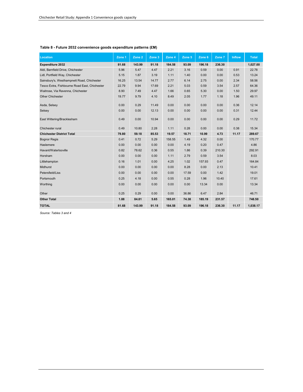| <b>Location</b>                               | Zone 1 | Zone 2 | Zone 3 | Zone 4 | Zone 5 | Zone 6 | Zone 7 | <b>Inflow</b> | <b>Total</b> |
|-----------------------------------------------|--------|--------|--------|--------|--------|--------|--------|---------------|--------------|
| Expenditure 2032                              | 81.68  | 143.99 | 91.18  | 184.58 | 93.09  | 196.18 | 236.30 |               | 1,027.00     |
| Aldi, Barnfield Drive, Chichester             | 5.96   | 5.47   | 4.47   | 2.21   | 3.16   | 0.59   | 0.00   | 0.91          | 22.78        |
| Lidl, Portfield Way, Chichester               | 5.15   | 1.87   | 3.19   | 1.11   | 1.40   | 0.00   | 0.00   | 0.53          | 13.24        |
| Sainsbury's, Westhampnett Road, Chichester    | 16.25  | 13.54  | 14.77  | 2.77   | 6.14   | 2.75   | 0.00   | 2.34          | 58.56        |
| Tesco Extra, Fishbourne Road East, Chichester | 22.79  | 9.94   | 17.69  | 2.21   | 5.03   | 0.59   | 3.54   | 2.57          | 64.36        |
| Waitrose, Via Ravenna, Chichester             | 8.90   | 7.49   | 4.47   | 1.66   | 0.65   | 5.30   | 0.00   | 1.50          | 29.97        |
| <b>Other Chichester</b>                       | 19.77  | 9.79   | 4.10   | 8.49   | 2.05   | 1.77   | 1.18   | 1.96          | 49.11        |
| Asda, Selsey                                  | 0.00   | 0.29   | 11.49  | 0.00   | 0.00   | 0.00   | 0.00   | 0.36          | 12.14        |
| Selsey                                        | 0.00   | 0.00   | 12.13  | 0.00   | 0.00   | 0.00   | 0.00   | 0.31          | 12.44        |
| East Wittering/Bracklesham                    | 0.49   | 0.00   | 10.94  | 0.00   | 0.00   | 0.00   | 0.00   | 0.29          | 11.72        |
| Chichester rural                              | 0.49   | 10.80  | 2.28   | 1.11   | 0.28   | 0.00   | 0.00   | 0.38          | 15.34        |
| <b>Chichester District Total</b>              | 79.80  | 59.18  | 85.53  | 19.57  | 18.71  | 10.99  | 4.73   | 11.17         | 289.67       |
| <b>Bognor Regis</b>                           | 0.41   | 0.72   | 5.29   | 158.55 | 1.49   | 4.32   | 0.00   |               | 170.77       |
| Haslemere                                     | 0.00   | 0.00   | 0.00   | 0.00   | 4.19   | 0.20   | 0.47   |               | 4.86         |
| Havant/Waterlooville                          | 0.82   | 78.62  | 0.36   | 0.55   | 1.86   | 0.39   | 210.30 |               | 292.91       |
| Horsham                                       | 0.00   | 0.00   | 0.00   | 1.11   | 2.79   | 0.59   | 3.54   |               | 8.03         |
| Littlehampton                                 | 0.16   | 1.01   | 0.00   | 4.25   | 1.02   | 157.93 | 0.47   |               | 164.84       |
| <b>Midhurst</b>                               | 0.00   | 0.00   | 0.00   | 0.00   | 8.28   | 0.00   | 2.13   |               | 10.41        |
| Petersfield/Liss                              | 0.00   | 0.00   | 0.00   | 0.00   | 17.59  | 0.00   | 1.42   |               | 19.01        |
| Portsmouth                                    | 0.25   | 4.18   | 0.00   | 0.55   | 0.28   | 1.96   | 10.40  |               | 17.61        |
| Worthing                                      | 0.00   | 0.00   | 0.00   | 0.00   | 0.00   | 13.34  | 0.00   |               | 13.34        |
| Other                                         | 0.25   | 0.29   | 0.00   | 0.00   | 36.86  | 6.47   | 2.84   |               | 46.71        |
| <b>Other Total</b>                            | 1.88   | 84.81  | 5.65   | 165.01 | 74.38  | 185.19 | 231.57 |               | 748.50       |
| <b>TOTAL</b>                                  | 81.68  | 143.99 | 91.18  | 184.58 | 93.09  | 196.18 | 236.30 | 11.17         | 1,038.17     |

#### **Table 8 - Future 2032 convenience goods expenditure patterns (£M)**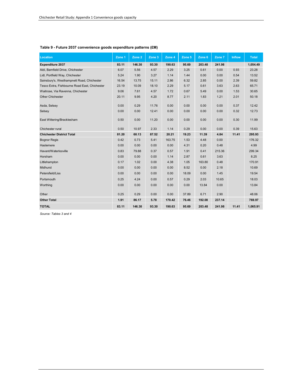| <b>Location</b>                               | Zone 1 | Zone 2 | Zone 3 | Zone 4 | Zone 5 | Zone 6 | Zone 7 | <b>Inflow</b> | <b>Total</b> |
|-----------------------------------------------|--------|--------|--------|--------|--------|--------|--------|---------------|--------------|
| Expenditure 2037                              | 83.11  | 146.30 | 93.30  | 190.63 | 95.69  | 203.48 | 241.98 |               | 1,054.49     |
| Aldi, Barnfield Drive, Chichester             | 6.07   | 5.56   | 4.57   | 2.29   | 3.25   | 0.61   | 0.00   | 0.93          | 23.28        |
| Lidl, Portfield Way, Chichester               | 5.24   | 1.90   | 3.27   | 1.14   | 1.44   | 0.00   | 0.00   | 0.54          | 13.52        |
| Sainsbury's, Westhampnett Road, Chichester    | 16.54  | 13.75  | 15.11  | 2.86   | 6.32   | 2.85   | 0.00   | 2.39          | 59.82        |
| Tesco Extra, Fishbourne Road East, Chichester | 23.19  | 10.09  | 18.10  | 2.29   | 5.17   | 0.61   | 3.63   | 2.63          | 65.71        |
| Waitrose, Via Ravenna, Chichester             | 9.06   | 7.61   | 4.57   | 1.72   | 0.67   | 5.49   | 0.00   | 1.53          | 30.65        |
| <b>Other Chichester</b>                       | 20.11  | 9.95   | 4.20   | 8.77   | 2.11   | 1.83   | 1.21   | 2.01          | 50.18        |
| Asda, Selsey                                  | 0.00   | 0.29   | 11.76  | 0.00   | 0.00   | 0.00   | 0.00   | 0.37          | 12.42        |
| Selsey                                        | 0.00   | 0.00   | 12.41  | 0.00   | 0.00   | 0.00   | 0.00   | 0.32          | 12.73        |
| East Wittering/Bracklesham                    | 0.50   | 0.00   | 11.20  | 0.00   | 0.00   | 0.00   | 0.00   | 0.30          | 11.99        |
| Chichester rural                              | 0.50   | 10.97  | 2.33   | 1.14   | 0.29   | 0.00   | 0.00   | 0.39          | 15.63        |
| <b>Chichester District Total</b>              | 81.20  | 60.13  | 87.52  | 20.21  | 19.23  | 11.39  | 4.84   | 11.41         | 295.93       |
| <b>Bognor Regis</b>                           | 0.42   | 0.73   | 5.41   | 163.75 | 1.53   | 4.48   | 0.00   |               | 176.32       |
| Haslemere                                     | 0.00   | 0.00   | 0.00   | 0.00   | 4.31   | 0.20   | 0.48   |               | 4.99         |
| Havant/Waterlooville                          | 0.83   | 79.88  | 0.37   | 0.57   | 1.91   | 0.41   | 215.36 |               | 299.34       |
| Horsham                                       | 0.00   | 0.00   | 0.00   | 1.14   | 2.87   | 0.61   | 3.63   |               | 8.25         |
| Littlehampton                                 | 0.17   | 1.02   | 0.00   | 4.38   | 1.05   | 163.80 | 0.48   |               | 170.91       |
| Midhurst                                      | 0.00   | 0.00   | 0.00   | 0.00   | 8.52   | 0.00   | 2.18   |               | 10.69        |
| Petersfield/Liss                              | 0.00   | 0.00   | 0.00   | 0.00   | 18.09  | 0.00   | 1.45   |               | 19.54        |
| Portsmouth                                    | 0.25   | 4.24   | 0.00   | 0.57   | 0.29   | 2.03   | 10.65  |               | 18.03        |
| Worthing                                      | 0.00   | 0.00   | 0.00   | 0.00   | 0.00   | 13.84  | 0.00   |               | 13.84        |
| Other                                         | 0.25   | 0.29   | 0.00   | 0.00   | 37.89  | 6.71   | 2.90   |               | 48.06        |
| <b>Other Total</b>                            | 1.91   | 86.17  | 5.78   | 170.42 | 76.46  | 192.08 | 237.14 |               | 769.97       |
| <b>TOTAL</b>                                  | 83.11  | 146.30 | 93.30  | 190.63 | 95.69  | 203.48 | 241.98 | 11.41         | 1,065.91     |

#### **Table 9 - Future 2037 convenience goods expenditure patterns (£M)**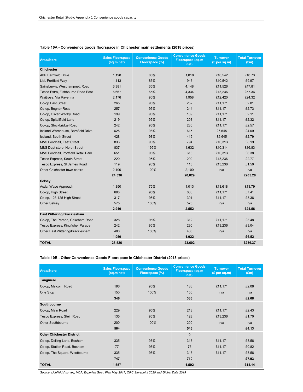| <b>Area/Store</b>                    | <b>Sales Floorspace</b><br>(sq.m net) | <b>Convenience Goods</b><br>Floorspace (%) | <b>Convenience Goods</b><br><b>Floorspace (sq.m</b><br>net) | <b>Turnover</b><br>(E per sq.m) | <b>Total Turnover</b><br>(Em) |
|--------------------------------------|---------------------------------------|--------------------------------------------|-------------------------------------------------------------|---------------------------------|-------------------------------|
| <b>Chichester</b>                    |                                       |                                            |                                                             |                                 |                               |
| Aldi, Barnfield Drive                | 1,198                                 | 85%                                        | 1,018                                                       | £10,542                         | £10.73                        |
| Lidl, Portfield Way                  | 1,113                                 | 85%                                        | 946                                                         | £10,542                         | £9.97                         |
| Sainsbury's, Westhampnett Road       | 6,381                                 | 65%                                        | 4,148                                                       | £11,526                         | £47.81                        |
| Tesco Extra, Fishbourne Road East    | 6,667                                 | 65%                                        | 4,334                                                       | £13,236                         | £57.36                        |
| Waitrose, Via Ravenna                | 2,176                                 | 90%                                        | 1,958                                                       | £12,420                         | £24.32                        |
| Co-op East Street                    | 265                                   | 95%                                        | 252                                                         | £11,171                         | £2.81                         |
| Co-op, Bognor Road                   | 257                                   | 95%                                        | 244                                                         | £11,171                         | £2.73                         |
| Co-op, Oliver Whitby Road            | 199                                   | 95%                                        | 189                                                         | £11,171                         | £2.11                         |
| Co-op, Spitalifield Lane             | 219                                   | 95%                                        | 208                                                         | £11,171                         | £2.32                         |
| Co-op, Stockbridge Road              | 242                                   | 95%                                        | 230                                                         | £11,171                         | £2.57                         |
| Iceland Warehouse, Barnfield Drive   | 628                                   | 98%                                        | 615                                                         | £6,645                          | £4.09                         |
| Iceland, South Street                | 428                                   | 98%                                        | 419                                                         | £6,645                          | £2.79                         |
| <b>M&amp;S Foodhall, East Street</b> | 836                                   | 95%                                        | 794                                                         | £10,313                         | £8.19                         |
| M&S Dept store, North Street         | 837                                   | 195%                                       | 1,632                                                       | £10,314                         | £16.83                        |
| M&S Foodhall, Portfield Retail Park  | 651                                   | 95%                                        | 618                                                         | £10,313                         | £6.38                         |
| Tesco Express, South Street          | 220                                   | 95%                                        | 209                                                         | £13,236                         | £2.77                         |
| Tesco Express, St James Road         | 119                                   | 95%                                        | 113                                                         | £13,236                         | £1.50                         |
| Other Chichester town centre         | 2,100                                 | 100%                                       | 2,100                                                       | n/a                             | n/a                           |
|                                      | 24,536                                |                                            | 20,029                                                      |                                 | £205.28                       |
| <b>Selsey</b>                        |                                       |                                            |                                                             |                                 |                               |
| Asda, Wave Approach                  | 1,350                                 | 75%                                        | 1,013                                                       | £13,618                         | £13.79                        |
| Co-op, High Street                   | 698                                   | 95%                                        | 663                                                         | £11,171                         | £7.41                         |
| Co-op, 123-125 High Street           | 317                                   | 95%                                        | 301                                                         | £11,171                         | £3.36                         |
| <b>Other Selsey</b>                  | 575                                   | 100%                                       | 575                                                         | n/a                             | n/a                           |
|                                      | 2,940                                 |                                            | 2,552                                                       |                                 | £24.56                        |
| East Wittering/Bracklesham           |                                       |                                            |                                                             |                                 |                               |
| Co-op, The Parade, Cakeham Road      | 328                                   | 95%                                        | 312                                                         | £11,171                         | £3.48                         |
| Tesco Express, Kingfisher Parade     | 242                                   | 95%                                        | 230                                                         | £13,236                         | £3.04                         |
| Other East Wittering/Bracklesham     | 480                                   | 100%                                       | 480                                                         | n/a                             | n/a                           |
|                                      | 1,050                                 |                                            | 1,022                                                       |                                 | £6.52                         |
| <b>TOTAL</b>                         | 28,526                                |                                            | 23,602                                                      |                                 | £236.37                       |

#### **Table 10A - Convenience goods floorspace in Chichester main settlements (2018 prices)**

#### **Table 10B - Other Convenience Goods Floorspace in Chichester District (2018 prices)**

| <b>Area/Store</b>                | <b>Sales Floorspace</b><br>(sq.m net) | <b>Convenience Goods</b><br>Floorspace (%) | <b>Convenience Goods</b><br><b>Floorspace (sq.m</b><br>net) | <b>Turnover</b><br>(£ per sq.m) | <b>Total Turnover</b><br>(Em) |
|----------------------------------|---------------------------------------|--------------------------------------------|-------------------------------------------------------------|---------------------------------|-------------------------------|
| <b>Tangmere</b>                  |                                       |                                            |                                                             |                                 |                               |
| Co-op, Malcolm Road              | 196                                   | 95%                                        | 186                                                         | £11,171                         | £2.08                         |
| One Stop                         | 150                                   | 100%                                       | 150                                                         | n/a                             | n/a                           |
|                                  | 346                                   |                                            | 336                                                         |                                 | £2.08                         |
| Southbourne                      |                                       |                                            |                                                             |                                 |                               |
| Co-op, Main Road                 | 229                                   | 95%                                        | 218                                                         | £11,171                         | £2.43                         |
| Tesco Express, Stein Road        | 135                                   | 95%                                        | 128                                                         | £13,236                         | £1.70                         |
| <b>Other Southbourne</b>         | 200                                   | 100%                                       | 200                                                         | n/a                             | n/a                           |
|                                  | 564                                   |                                            | 546                                                         |                                 | £4.13                         |
| <b>Other Chichester District</b> |                                       |                                            | $\mathbf{0}$                                                |                                 |                               |
| Co-op, Delling Lane, Bosham      | 335                                   | 95%                                        | 318                                                         | £11,171                         | £3.56                         |
| Co-op, Station Road, Bosham      | 77                                    | 95%                                        | 73                                                          | £11,171                         | £0.82                         |
| Co-op, The Square, Westbourne    | 335                                   | 95%                                        | 318                                                         | £11,171                         | £3.56                         |
|                                  | 747                                   |                                            | 710                                                         |                                 | £7.93                         |
| <b>TOTAL</b>                     | 1,657                                 |                                            | 1,592                                                       |                                 | £14.14                        |

*Source: Lichfields' survey, VOA, Experian Goad Plan May 2017, ORC Storepoint 2020 and Global Data 2019*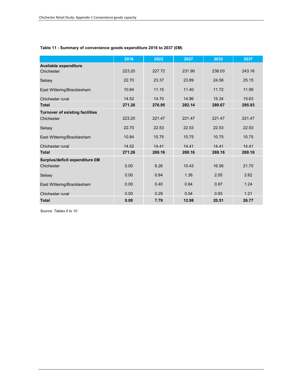#### **Table 11 - Summary of convenience goods expenditure 2018 to 2037 (£M)**

|                                        | 2018   | 2022   | 2027   | 2032   | 2037   |
|----------------------------------------|--------|--------|--------|--------|--------|
| Available expenditure                  |        |        |        |        |        |
| Chichester                             | 223.20 | 227.72 | 231.90 | 238.03 | 243.16 |
| Selsey                                 | 22.70  | 23.37  | 23.89  | 24.58  | 25.15  |
| East Wittering/Bracklesham             | 10.84  | 11.15  | 11.40  | 11.72  | 11.99  |
| Chichester rural                       | 14.52  | 14.70  | 14.96  | 15.34  | 15.63  |
| <b>Total</b>                           | 271.26 | 276.95 | 282.14 | 289.67 | 295.93 |
| <b>Turnover of existing facilities</b> |        |        |        |        |        |
| Chichester                             | 223.20 | 221.47 | 221.47 | 221.47 | 221.47 |
| Selsey                                 | 22.70  | 22.53  | 22.53  | 22.53  | 22.53  |
| East Wittering/Bracklesham             | 10.84  | 10.75  | 10.75  | 10.75  | 10.75  |
| Chichester rural                       | 14.52  | 14.41  | 14.41  | 14.41  | 14.41  |
| <b>Total</b>                           | 271.26 | 269.16 | 269.16 | 269.16 | 269.16 |
| Surplus/deficit expenditure £M         |        |        |        |        |        |
| Chichester                             | 0.00   | 6.26   | 10.43  | 16.56  | 21.70  |
| Selsey                                 | 0.00   | 0.84   | 1.36   | 2.05   | 2.62   |
| East Wittering/Bracklesham             | 0.00   | 0.40   | 0.64   | 0.97   | 1.24   |
| Chichester rural                       | 0.00   | 0.29   | 0.54   | 0.93   | 1.21   |
| <b>Total</b>                           | 0.00   | 7.79   | 12.98  | 20.51  | 26.77  |

*Source: Tables 5 to 10*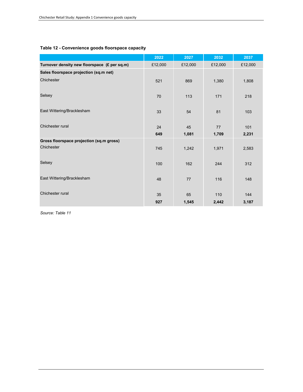|                                              | 2022      | 2027        | 2032        | 2037         |
|----------------------------------------------|-----------|-------------|-------------|--------------|
| Turnover density new floorspace (£ per sq.m) | £12,000   | £12,000     | £12,000     | £12,000      |
| Sales floorspace projection (sq.m net)       |           |             |             |              |
| Chichester                                   | 521       | 869         | 1,380       | 1,808        |
| Selsey                                       | 70        | 113         | 171         | 218          |
| East Wittering/Bracklesham                   | 33        | 54          | 81          | 103          |
| Chichester rural                             | 24<br>649 | 45<br>1,081 | 77<br>1,709 | 101<br>2,231 |
| Gross floorspace projection (sq.m gross)     |           |             |             |              |
| Chichester                                   | 745       | 1,242       | 1,971       | 2,583        |
| Selsey                                       | 100       | 162         | 244         | 312          |
| East Wittering/Bracklesham                   | 48        | 77          | 116         | 148          |
| Chichester rural                             | 35        | 65          | 110         | 144          |
|                                              | 927       | 1,545       | 2,442       | 3,187        |

#### **Table 12 - Convenience goods floorspace capacity**

*Source: Table 11*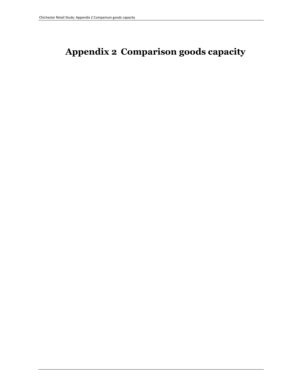# **Appendix 2 Comparison goods capacity**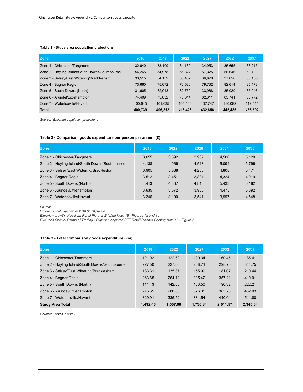#### **Table 1 - Study area population projections**

| <b>Zone</b>                                     | 2016    | 2018    | 2022    | 2027    | 2032    | 2037    |
|-------------------------------------------------|---------|---------|---------|---------|---------|---------|
| Zone 1 - Chichester/Tangmere                    | 32,640  | 33,109  | 34,139  | 34,953  | 35,655  | 36,213  |
| Zone 2 - Hayling Island/South Downs/Southbourne | 54,265  | 54,978  | 55,827  | 57,325  | 58,646  | 59,481  |
| Zone 3 - Selsey/East Wittering/Bracklesham      | 33,515  | 34,139  | 35,402  | 36,620  | 37,658  | 38,466  |
| Zone 4 - Bognor Regis                           | 73,660  | 75,072  | 76,530  | 79.732  | 82.614  | 85,173  |
| Zone 5 - South Downs (North)                    | 31,605  | 32,048  | 32.750  | 33,968  | 35,029  | 35,946  |
| Zone 6 - Arundel/Littlehampton                  | 74.409  | 75,832  | 78.614  | 82,311  | 85,741  | 88,772  |
| Zone 7 - Waterlooville/Havant                   | 100.645 | 101,635 | 105,166 | 107,747 | 110,092 | 112,541 |
| <b>Total</b>                                    | 400.739 | 406.812 | 418,428 | 432,656 | 445.435 | 456.592 |

*Source: Experian population projections*

#### **Table 2 - Comparison goods expenditure per person per annum (£)**

| <b>Zone</b>                                     | 2018  | 2022  | 2026  | 2031  | 2036  |
|-------------------------------------------------|-------|-------|-------|-------|-------|
| Zone 1 - Chichester/Tangmere                    | 3.655 | 3.592 | 3.987 | 4.500 | 5.120 |
| Zone 2 - Hayling Island/South Downs/Southbourne | 4.138 | 4.066 | 4.513 | 5.094 | 5.796 |
| Zone 3 - Selsey/East Wittering/Bracklesham      | 3.905 | 3,838 | 4.260 | 4.808 | 5.471 |
| Zone 4 - Bognor Regis                           | 3.512 | 3.451 | 3.831 | 4.324 | 4.919 |
| Zone 5 - South Downs (North)                    | 4.413 | 4.337 | 4.813 | 5,433 | 6,182 |
| Zone 6 - Arundel/Littlehampton                  | 3.635 | 3,572 | 3.965 | 4.475 | 5,092 |
| Zone 7 - Waterlooville/Havant                   | 3.246 | 3.190 | 3.541 | 3.997 | 4.548 |

*Sources:* 

*Experian Local Expenditure 2018 (2018 prices)*

*Experian growth rates from Retail Planner Briefing Note 18 - Figures 1a and 1b*

*Excludes Special Forms of Trading - Experian adjusted SFT Retail Planner Briefing Note 18 - Figure 5*

#### **Table 3 - Total comparison goods expenditure (£m)**

| <b>Zone</b>                                     | 2018     | 2022     | 2027     | 2032     | 2037     |
|-------------------------------------------------|----------|----------|----------|----------|----------|
| Zone 1 - Chichester/Tangmere                    | 121.02   | 122.62   | 139.34   | 160.45   | 185.41   |
| Zone 2 - Hayling Island/South Downs/Southbourne | 227.50   | 227.00   | 258.71   | 298.75   | 344.75   |
| Zone 3 - Selsey/East Wittering/Bracklesham      | 133.31   | 135.87   | 155.99   | 181.07   | 210.44   |
| Zone 4 - Bognor Regis                           | 263.65   | 264.12   | 305.42   | 357.21   | 419.01   |
| Zone 5 - South Downs (North)                    | 141.43   | 142.03   | 163.50   | 190.32   | 222.21   |
| Zone 6 - Arundel/Littlehampton                  | 275.65   | 280.83   | 326.35   | 383.73   | 452.03   |
| Zone 7 - Waterlooville/Havant                   | 329.91   | 335.52   | 381.54   | 440.04   | 511.80   |
| <b>Study Area Total</b>                         | 1.492.46 | 1.507.98 | 1.730.84 | 2.011.57 | 2.345.64 |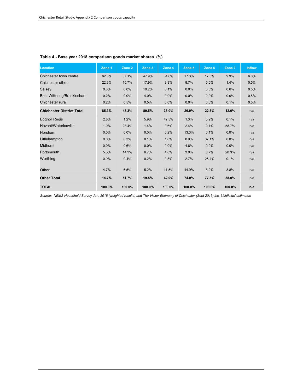| <b>Location</b>                  | Zone 1 | Zone 2 | Zone 3 | Zone 4 | Zone 5 | Zone 6 | Zone 7 | <b>Inflow</b> |
|----------------------------------|--------|--------|--------|--------|--------|--------|--------|---------------|
| Chichester town centre           | 62.3%  | 37.1%  | 47.9%  | 34.6%  | 17.3%  | 17.5%  | 9.9%   | 6.0%          |
| Chichester other                 | 22.3%  | 10.7%  | 17.9%  | 3.3%   | 8.7%   | 5.0%   | 1.4%   | 0.5%          |
| Selsey                           | 0.3%   | 0.0%   | 10.2%  | 0.1%   | 0.0%   | 0.0%   | 0.6%   | 0.5%          |
| East Wittering/Bracklesham       | 0.2%   | 0.0%   | 4.0%   | 0.0%   | 0.0%   | 0.0%   | 0.0%   | 0.5%          |
| Chichester rural                 | 0.2%   | 0.5%   | 0.5%   | 0.0%   | 0.0%   | 0.0%   | 0.1%   | 0.5%          |
| <b>Chichester District Total</b> | 85.3%  | 48.3%  | 80.5%  | 38.0%  | 26.0%  | 22.5%  | 12.0%  | n/a           |
| <b>Bognor Regis</b>              | 2.8%   | 1.2%   | 5.9%   | 42.5%  | 1.3%   | 5.9%   | 0.1%   | n/a           |
| Havant/Waterlooville             | 1.0%   | 28.4%  | 1.4%   | 0.6%   | 2.4%   | 0.1%   | 58.7%  | n/a           |
| Horsham                          | 0.0%   | 0.0%   | 0.0%   | 0.2%   | 13.3%  | 0.1%   | 0.0%   | n/a           |
| Littlehampton                    | 0.0%   | 0.3%   | 0.1%   | 1.6%   | 0.9%   | 37.1%  | 0.0%   | n/a           |
| <b>Midhurst</b>                  | 0.0%   | 0.6%   | 0.0%   | 0.0%   | 4.6%   | 0.0%   | 0.0%   | n/a           |
| Portsmouth                       | 5.3%   | 14.3%  | 6.7%   | 4.8%   | 3.9%   | 0.7%   | 20.3%  | n/a           |
| Worthing                         | 0.9%   | 0.4%   | 0.2%   | 0.8%   | 2.7%   | 25.4%  | 0.1%   | n/a           |
| Other                            | 4.7%   | 6.5%   | 5.2%   | 11.5%  | 44.9%  | 8.2%   | 8.8%   | n/a           |
| <b>Other Total</b>               | 14.7%  | 51.7%  | 19.5%  | 62.0%  | 74.0%  | 77.5%  | 88.0%  | n/a           |
| <b>TOTAL</b>                     | 100.0% | 100.0% | 100.0% | 100.0% | 100.0% | 100.0% | 100.0% | n/a           |

#### **Table 4 - Base year 2018 comparison goods market shares (%)**

*Source: NEMS Household Survey Jan. 2018 (weighted results) and The Visitor Economy of Chichester (Sept 2016) inc. Lichfields' estimates*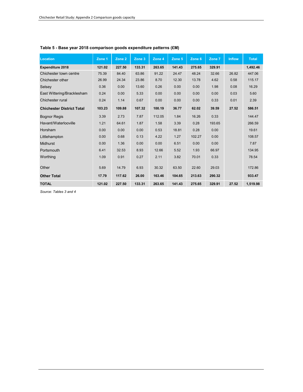| Location                         | Zone 1 | Zone <sub>2</sub> | Zone 3 | Zone 4 | Zone 5 | Zone 6 | Zone 7 | <b>Inflow</b> | <b>Total</b> |
|----------------------------------|--------|-------------------|--------|--------|--------|--------|--------|---------------|--------------|
| <b>Expenditure 2018</b>          | 121.02 | 227.50            | 133.31 | 263.65 | 141.43 | 275.65 | 329.91 |               | 1,492.46     |
| Chichester town centre           | 75.39  | 84.40             | 63.86  | 91.22  | 24.47  | 48.24  | 32.66  | 26.82         | 447.06       |
| Chichester other                 | 26.99  | 24.34             | 23.86  | 8.70   | 12.30  | 13.78  | 4.62   | 0.58          | 115.17       |
| Selsey                           | 0.36   | 0.00              | 13.60  | 0.26   | 0.00   | 0.00   | 1.98   | 0.08          | 16.29        |
| East Wittering/Bracklesham       | 0.24   | 0.00              | 5.33   | 0.00   | 0.00   | 0.00   | 0.00   | 0.03          | 5.60         |
| Chichester rural                 | 0.24   | 1.14              | 0.67   | 0.00   | 0.00   | 0.00   | 0.33   | 0.01          | 2.39         |
| <b>Chichester District Total</b> | 103.23 | 109.88            | 107.32 | 100.19 | 36.77  | 62.02  | 39.59  | 27.52         | 586.51       |
| <b>Bognor Regis</b>              | 3.39   | 2.73              | 7.87   | 112.05 | 1.84   | 16.26  | 0.33   |               | 144.47       |
| Havant/Waterlooville             | 1.21   | 64.61             | 1.87   | 1.58   | 3.39   | 0.28   | 193.65 |               | 266.59       |
| Horsham                          | 0.00   | 0.00              | 0.00   | 0.53   | 18.81  | 0.28   | 0.00   |               | 19.61        |
| Littlehampton                    | 0.00   | 0.68              | 0.13   | 4.22   | 1.27   | 102.27 | 0.00   |               | 108.57       |
| <b>Midhurst</b>                  | 0.00   | 1.36              | 0.00   | 0.00   | 6.51   | 0.00   | 0.00   |               | 7.87         |
| Portsmouth                       | 6.41   | 32.53             | 8.93   | 12.66  | 5.52   | 1.93   | 66.97  |               | 134.95       |
| Worthing                         | 1.09   | 0.91              | 0.27   | 2.11   | 3.82   | 70.01  | 0.33   |               | 78.54        |
| Other                            | 5.69   | 14.79             | 6.93   | 30.32  | 63.50  | 22.60  | 29.03  |               | 172.86       |
| <b>Other Total</b>               | 17.79  | 117.62            | 26.00  | 163.46 | 104.65 | 213.63 | 290.32 |               | 933.47       |
| <b>TOTAL</b>                     | 121.02 | 227.50            | 133.31 | 263.65 | 141.43 | 275.65 | 329.91 | 27.52         | 1.519.98     |

#### **Table 5 - Base year 2018 comparison goods expenditure patterns (£M)**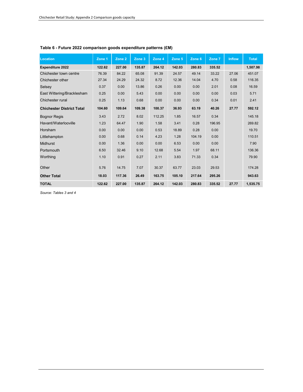| Location                         | Zone 1 | Zone <sub>2</sub> | Zone 3 | Zone 4 | Zone 5 | Zone 6 | Zone 7 | <b>Inflow</b> | <b>Total</b> |
|----------------------------------|--------|-------------------|--------|--------|--------|--------|--------|---------------|--------------|
| <b>Expenditure 2022</b>          | 122.62 | 227.00            | 135.87 | 264.12 | 142.03 | 280.83 | 335.52 |               | 1.507.98     |
| Chichester town centre           | 76.39  | 84.22             | 65.08  | 91.39  | 24.57  | 49.14  | 33.22  | 27.06         | 451.07       |
| Chichester other                 | 27.34  | 24.29             | 24.32  | 8.72   | 12.36  | 14.04  | 4.70   | 0.58          | 116.35       |
| Selsey                           | 0.37   | 0.00              | 13.86  | 0.26   | 0.00   | 0.00   | 2.01   | 0.08          | 16.59        |
| East Wittering/Bracklesham       | 0.25   | 0.00              | 5.43   | 0.00   | 0.00   | 0.00   | 0.00   | 0.03          | 5.71         |
| Chichester rural                 | 0.25   | 1.13              | 0.68   | 0.00   | 0.00   | 0.00   | 0.34   | 0.01          | 2.41         |
| <b>Chichester District Total</b> | 104.60 | 109.64            | 109.38 | 100.37 | 36.93  | 63.19  | 40.26  | 27.77         | 592.12       |
| <b>Bognor Regis</b>              | 3.43   | 2.72              | 8.02   | 112.25 | 1.85   | 16.57  | 0.34   |               | 145.18       |
| Havant/Waterlooville             | 1.23   | 64.47             | 1.90   | 1.58   | 3.41   | 0.28   | 196.95 |               | 269.82       |
| Horsham                          | 0.00   | 0.00              | 0.00   | 0.53   | 18.89  | 0.28   | 0.00   |               | 19.70        |
| Littlehampton                    | 0.00   | 0.68              | 0.14   | 4.23   | 1.28   | 104.19 | 0.00   |               | 110.51       |
| <b>Midhurst</b>                  | 0.00   | 1.36              | 0.00   | 0.00   | 6.53   | 0.00   | 0.00   |               | 7.90         |
| Portsmouth                       | 6.50   | 32.46             | 9.10   | 12.68  | 5.54   | 1.97   | 68.11  |               | 136.36       |
| Worthing                         | 1.10   | 0.91              | 0.27   | 2.11   | 3.83   | 71.33  | 0.34   |               | 79.90        |
| Other                            | 5.76   | 14.75             | 7.07   | 30.37  | 63.77  | 23.03  | 29.53  |               | 174.28       |
| <b>Other Total</b>               | 18.03  | 117.36            | 26.49  | 163.75 | 105.10 | 217.64 | 295.26 |               | 943.63       |
| <b>TOTAL</b>                     | 122.62 | 227.00            | 135.87 | 264.12 | 142.03 | 280.83 | 335.52 | 27.77         | 1,535.75     |

#### **Table 6 - Future 2022 comparison goods expenditure patterns (£M)**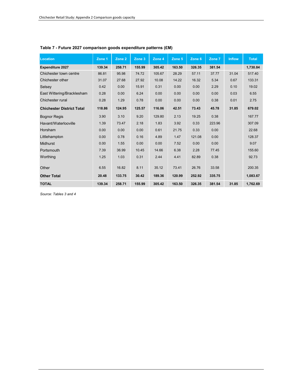| <b>Location</b>                  | Zone 1 | Zone <sub>2</sub> | Zone 3 | Zone 4 | Zone 5 | Zone 6 | Zone 7 | <b>Inflow</b> | <b>Total</b> |
|----------------------------------|--------|-------------------|--------|--------|--------|--------|--------|---------------|--------------|
| <b>Expenditure 2027</b>          | 139.34 | 258.71            | 155.99 | 305.42 | 163.50 | 326.35 | 381.54 |               | 1,730.84     |
| Chichester town centre           | 86.81  | 95.98             | 74.72  | 105.67 | 28.29  | 57.11  | 37.77  | 31.04         | 517.40       |
| Chichester other                 | 31.07  | 27.68             | 27.92  | 10.08  | 14.22  | 16.32  | 5.34   | 0.67          | 133.31       |
| Selsey                           | 0.42   | 0.00              | 15.91  | 0.31   | 0.00   | 0.00   | 2.29   | 0.10          | 19.02        |
| East Wittering/Bracklesham       | 0.28   | 0.00              | 6.24   | 0.00   | 0.00   | 0.00   | 0.00   | 0.03          | 6.55         |
| Chichester rural                 | 0.28   | 1.29              | 0.78   | 0.00   | 0.00   | 0.00   | 0.38   | 0.01          | 2.75         |
| <b>Chichester District Total</b> | 118.86 | 124.95            | 125.57 | 116.06 | 42.51  | 73.43  | 45.78  | 31.85         | 679.02       |
| <b>Bognor Regis</b>              | 3.90   | 3.10              | 9.20   | 129.80 | 2.13   | 19.25  | 0.38   |               | 167.77       |
| Havant/Waterlooville             | 1.39   | 73.47             | 2.18   | 1.83   | 3.92   | 0.33   | 223.96 |               | 307.09       |
| Horsham                          | 0.00   | 0.00              | 0.00   | 0.61   | 21.75  | 0.33   | 0.00   |               | 22.68        |
| Littlehampton                    | 0.00   | 0.78              | 0.16   | 4.89   | 1.47   | 121.08 | 0.00   |               | 128.37       |
| <b>Midhurst</b>                  | 0.00   | 1.55              | 0.00   | 0.00   | 7.52   | 0.00   | 0.00   |               | 9.07         |
| Portsmouth                       | 7.39   | 36.99             | 10.45  | 14.66  | 6.38   | 2.28   | 77.45  |               | 155.60       |
| Worthing                         | 1.25   | 1.03              | 0.31   | 2.44   | 4.41   | 82.89  | 0.38   |               | 92.73        |
| Other                            | 6.55   | 16.82             | 8.11   | 35.12  | 73.41  | 26.76  | 33.58  |               | 200.35       |
| <b>Other Total</b>               | 20.48  | 133.75            | 30.42  | 189.36 | 120.99 | 252.92 | 335.75 |               | 1,083.67     |
| <b>TOTAL</b>                     | 139.34 | 258.71            | 155.99 | 305.42 | 163.50 | 326.35 | 381.54 | 31.85         | 1,762.69     |

#### **Table 7 - Future 2027 comparison goods expenditure patterns (£M)**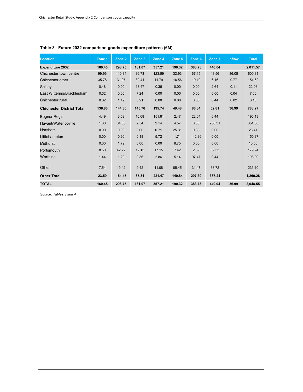| Location                         | Zone 1 | Zone 2 | Zone 3 | Zone 4 | Zone 5 | Zone 6 | Zone 7 | <b>Inflow</b> | <b>Total</b> |
|----------------------------------|--------|--------|--------|--------|--------|--------|--------|---------------|--------------|
| <b>Expenditure 2032</b>          | 160.45 | 298.75 | 181.07 | 357.21 | 190.32 | 383.73 | 440.04 |               | 2,011.57     |
| Chichester town centre           | 99.96  | 110.84 | 86.73  | 123.59 | 32.93  | 67.15  | 43.56  | 36.05         | 600.81       |
| Chichester other                 | 35.78  | 31.97  | 32.41  | 11.79  | 16.56  | 19.19  | 6.16   | 0.77          | 154.62       |
| Selsey                           | 0.48   | 0.00   | 18.47  | 0.36   | 0.00   | 0.00   | 2.64   | 0.11          | 22.06        |
| East Wittering/Bracklesham       | 0.32   | 0.00   | 7.24   | 0.00   | 0.00   | 0.00   | 0.00   | 0.04          | 7.60         |
| Chichester rural                 | 0.32   | 1.49   | 0.91   | 0.00   | 0.00   | 0.00   | 0.44   | 0.02          | 3.18         |
| <b>Chichester District Total</b> | 136.86 | 144.30 | 145.76 | 135.74 | 49.48  | 86.34  | 52.81  | 36.99         | 788.27       |
| <b>Bognor Regis</b>              | 4.49   | 3.59   | 10.68  | 151.81 | 2.47   | 22.64  | 0.44   |               | 196.13       |
| Havant/Waterlooville             | 1.60   | 84.85  | 2.54   | 2.14   | 4.57   | 0.38   | 258.31 |               | 354.38       |
| Horsham                          | 0.00   | 0.00   | 0.00   | 0.71   | 25.31  | 0.38   | 0.00   |               | 26.41        |
| Littlehampton                    | 0.00   | 0.90   | 0.18   | 5.72   | 1.71   | 142.36 | 0.00   |               | 150.87       |
| <b>Midhurst</b>                  | 0.00   | 1.79   | 0.00   | 0.00   | 8.75   | 0.00   | 0.00   |               | 10.55        |
| Portsmouth                       | 8.50   | 42.72  | 12.13  | 17.15  | 7.42   | 2.69   | 89.33  |               | 179.94       |
| Worthing                         | 1.44   | 1.20   | 0.36   | 2.86   | 5.14   | 97.47  | 0.44   |               | 108.90       |
| Other                            | 7.54   | 19.42  | 9.42   | 41.08  | 85.45  | 31.47  | 38.72  |               | 233.10       |
| <b>Other Total</b>               | 23.59  | 154.45 | 35.31  | 221.47 | 140.84 | 297.39 | 387.24 |               | 1,260.28     |
| <b>TOTAL</b>                     | 160.45 | 298.75 | 181.07 | 357.21 | 190.32 | 383.73 | 440.04 | 36.99         | 2.048.55     |

#### **Table 8 - Future 2032 comparison goods expenditure patterns (£M)**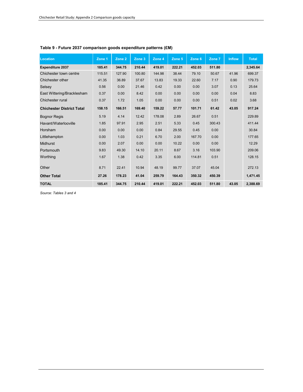| <b>Location</b>                  | Zone 1 | Zone <sub>2</sub> | Zone 3 | Zone 4 | Zone 5 | Zone 6 | Zone 7 | <b>Inflow</b> | <b>Total</b> |
|----------------------------------|--------|-------------------|--------|--------|--------|--------|--------|---------------|--------------|
| <b>Expenditure 2037</b>          | 185.41 | 344.75            | 210.44 | 419.01 | 222.21 | 452.03 | 511.80 |               | 2,345.64     |
| Chichester town centre           | 115.51 | 127.90            | 100.80 | 144.98 | 38.44  | 79.10  | 50.67  | 41.96         | 699.37       |
| Chichester other                 | 41.35  | 36.89             | 37.67  | 13.83  | 19.33  | 22.60  | 7.17   | 0.90          | 179.73       |
| Selsey                           | 0.56   | 0.00              | 21.46  | 0.42   | 0.00   | 0.00   | 3.07   | 0.13          | 25.64        |
| East Wittering/Bracklesham       | 0.37   | 0.00              | 8.42   | 0.00   | 0.00   | 0.00   | 0.00   | 0.04          | 8.83         |
| Chichester rural                 | 0.37   | 1.72              | 1.05   | 0.00   | 0.00   | 0.00   | 0.51   | 0.02          | 3.68         |
| <b>Chichester District Total</b> | 158.15 | 166.51            | 169.40 | 159.22 | 57.77  | 101.71 | 61.42  | 43.05         | 917.24       |
| <b>Bognor Regis</b>              | 5.19   | 4.14              | 12.42  | 178.08 | 2.89   | 26.67  | 0.51   |               | 229.89       |
| Havant/Waterlooville             | 1.85   | 97.91             | 2.95   | 2.51   | 5.33   | 0.45   | 300.43 |               | 411.44       |
| Horsham                          | 0.00   | 0.00              | 0.00   | 0.84   | 29.55  | 0.45   | 0.00   |               | 30.84        |
| Littlehampton                    | 0.00   | 1.03              | 0.21   | 6.70   | 2.00   | 167.70 | 0.00   |               | 177.65       |
| <b>Midhurst</b>                  | 0.00   | 2.07              | 0.00   | 0.00   | 10.22  | 0.00   | 0.00   |               | 12.29        |
| Portsmouth                       | 9.83   | 49.30             | 14.10  | 20.11  | 8.67   | 3.16   | 103.90 |               | 209.06       |
| Worthing                         | 1.67   | 1.38              | 0.42   | 3.35   | 6.00   | 114.81 | 0.51   |               | 128.15       |
| Other                            | 8.71   | 22.41             | 10.94  | 48.19  | 99.77  | 37.07  | 45.04  |               | 272.13       |
| <b>Other Total</b>               | 27.26  | 178.23            | 41.04  | 259.79 | 164.43 | 350.32 | 450.39 |               | 1,471.45     |
| <b>TOTAL</b>                     | 185.41 | 344.75            | 210.44 | 419.01 | 222.21 | 452.03 | 511.80 | 43.05         | 2,388.69     |

#### **Table 9 - Future 2037 comparison goods expenditure patterns (£M)**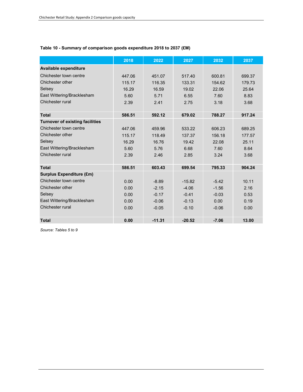#### **Table 10 - Summary of comparison goods expenditure 2018 to 2037 (£M)**

|                                        | 2018   | 2022     | 2027     | 2032    | 2037   |
|----------------------------------------|--------|----------|----------|---------|--------|
| Available expenditure                  |        |          |          |         |        |
| Chichester town centre                 | 447.06 | 451.07   | 517.40   | 600.81  | 699.37 |
| Chichester other                       | 115.17 | 116.35   | 133.31   | 154.62  | 179.73 |
| Selsey                                 | 16.29  | 16.59    | 19.02    | 22.06   | 25.64  |
| East Wittering/Bracklesham             | 5.60   | 5.71     | 6.55     | 7.60    | 8.83   |
| Chichester rural                       | 2.39   | 2.41     | 2.75     | 3.18    | 3.68   |
|                                        |        |          |          |         |        |
| <b>Total</b>                           | 586.51 | 592.12   | 679.02   | 788.27  | 917.24 |
| <b>Turnover of existing facilities</b> |        |          |          |         |        |
| Chichester town centre                 | 447.06 | 459.96   | 533.22   | 606.23  | 689.25 |
| Chichester other                       | 115.17 | 118.49   | 137.37   | 156.18  | 177.57 |
| Selsey                                 | 16.29  | 16.76    | 19.42    | 22.08   | 25.11  |
| East Wittering/Bracklesham             | 5.60   | 5.76     | 6.68     | 7.60    | 8.64   |
| Chichester rural                       | 2.39   | 2.46     | 2.85     | 3.24    | 3.68   |
|                                        |        |          |          |         |        |
| <b>Total</b>                           | 586.51 | 603.43   | 699.54   | 795.33  | 904.24 |
| <b>Surplus Expenditure (£m)</b>        |        |          |          |         |        |
| Chichester town centre                 | 0.00   | $-8.89$  | $-15.82$ | $-5.42$ | 10.11  |
| Chichester other                       | 0.00   | $-2.15$  | $-4.06$  | $-1.56$ | 2.16   |
| Selsey                                 | 0.00   | $-0.17$  | $-0.41$  | $-0.03$ | 0.53   |
| East Wittering/Bracklesham             | 0.00   | $-0.06$  | $-0.13$  | 0.00    | 0.19   |
| Chichester rural                       | 0.00   | $-0.05$  | $-0.10$  | $-0.06$ | 0.00   |
|                                        |        |          |          |         |        |
| <b>Total</b>                           | 0.00   | $-11.31$ | $-20.52$ | $-7.06$ | 13.00  |

*Source: Tables 5 to 9*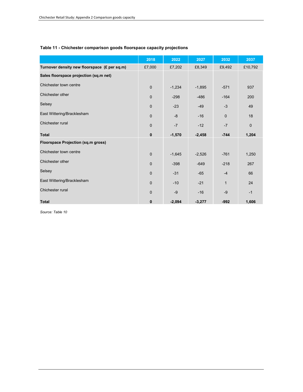|                                              | 2018         | 2022     | 2027     | 2032         | 2037         |
|----------------------------------------------|--------------|----------|----------|--------------|--------------|
| Turnover density new floorspace (£ per sq.m) | £7,000       | £7,202   | £8,349   | £9,492       | £10,792      |
| Sales floorspace projection (sq.m net)       |              |          |          |              |              |
| Chichester town centre                       | $\mathbf 0$  | $-1,234$ | $-1,895$ | $-571$       | 937          |
| Chichester other                             | $\mathbf 0$  | $-298$   | $-486$   | $-164$       | 200          |
| Selsey                                       | $\mathbf 0$  | $-23$    | $-49$    | $-3$         | 49           |
| East Wittering/Bracklesham                   | $\mathbf 0$  | $-8$     | $-16$    | $\mathbf 0$  | 18           |
| Chichester rural                             | $\mathbf 0$  | $-7$     | $-12$    | $-7$         | $\mathbf{0}$ |
| <b>Total</b>                                 | $\pmb{0}$    | $-1,570$ | $-2,458$ | $-744$       | 1,204        |
| <b>Floorspace Projection (sq.m gross)</b>    |              |          |          |              |              |
| Chichester town centre                       | $\mathbf 0$  | $-1,645$ | $-2,526$ | $-761$       | 1,250        |
| Chichester other                             | $\mathbf 0$  | $-398$   | $-649$   | $-218$       | 267          |
| Selsey                                       | $\mathbf 0$  | $-31$    | $-65$    | $-4$         | 66           |
| East Wittering/Bracklesham                   | $\mathbf 0$  | $-10$    | $-21$    | $\mathbf{1}$ | 24           |
| Chichester rural                             | $\mathbf 0$  | $-9$     | $-16$    | $-9$         | $-1$         |
| <b>Total</b>                                 | $\mathbf{0}$ | $-2,094$ | $-3,277$ | $-992$       | 1,606        |

#### **Table 11 - Chichester comparison goods floorspace capacity projections**

*Source: Table 10*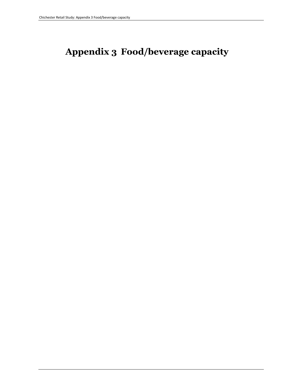# **Appendix 3 Food/beverage capacity**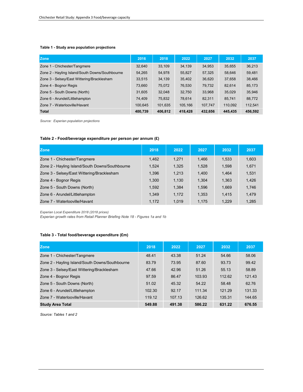#### **Table 1 - Study area population projections**

| <b>Zone</b>                                     | 2016    | 2018    | 2022    | 2027    | 2032    | 2037    |
|-------------------------------------------------|---------|---------|---------|---------|---------|---------|
| Zone 1 - Chichester/Tangmere                    | 32.640  | 33,109  | 34.139  | 34,953  | 35.655  | 36,213  |
| Zone 2 - Hayling Island/South Downs/Southbourne | 54,265  | 54,978  | 55,827  | 57,325  | 58,646  | 59,481  |
| Zone 3 - Selsey/East Wittering/Bracklesham      | 33,515  | 34,139  | 35,402  | 36,620  | 37,658  | 38,466  |
| Zone 4 - Bognor Regis                           | 73,660  | 75,072  | 76,530  | 79,732  | 82.614  | 85,173  |
| Zone 5 - South Downs (North)                    | 31,605  | 32,048  | 32,750  | 33,968  | 35,029  | 35,946  |
| Zone 6 - Arundel/Littlehampton                  | 74,409  | 75,832  | 78,614  | 82,311  | 85,741  | 88,772  |
| Zone 7 - Waterlooville/Havant                   | 100,645 | 101,635 | 105,166 | 107,747 | 110,092 | 112,541 |
| <b>Total</b>                                    | 400.739 | 406.812 | 418,428 | 432,656 | 445,435 | 456.592 |

*Source: Experian population projections*

#### **Table 2 - Food/beverage expenditure per person per annum (£)**

| <b>Zone</b>                                     | 2018  | 2022  | 2027  | 2032  | 2037  |
|-------------------------------------------------|-------|-------|-------|-------|-------|
| Zone 1 - Chichester/Tangmere                    | 1.462 | 1.271 | 1,466 | 1,533 | 1,603 |
| Zone 2 - Hayling Island/South Downs/Southbourne | 1.524 | 1,325 | 1,528 | 1,598 | 1,671 |
| Zone 3 - Selsey/East Wittering/Bracklesham      | 1.396 | 1,213 | 1,400 | 1,464 | 1,531 |
| Zone 4 - Bognor Regis                           | 1.300 | 1,130 | 1.304 | 1,363 | 1,426 |
| Zone 5 - South Downs (North)                    | 1.592 | 1.384 | 1,596 | 1,669 | 1,746 |
| Zone 6 - Arundel/Littlehampton                  | 1.349 | 1.172 | 1.353 | 1,415 | 1,479 |
| Zone 7 - Waterlooville/Havant                   | 1.172 | 1.019 | 1.175 | 1,229 | 1,285 |

*Experian Local Expenditure 2018 (2018 prices)*

*Experian growth rates from Retail Planner Briefing Note 18 - Figures 1a and 1b*

#### **Table 3 - Total food/beverage expenditure (£m)**

| <b>Zone</b>                                     | 2018   | 2022   | 2027   | 2032   | 2037   |
|-------------------------------------------------|--------|--------|--------|--------|--------|
| Zone 1 - Chichester/Tangmere                    | 48.41  | 43.38  | 51.24  | 54.66  | 58.06  |
| Zone 2 - Hayling Island/South Downs/Southbourne | 83.79  | 73.95  | 87.60  | 93.73  | 99.42  |
| Zone 3 - Selsey/East Wittering/Bracklesham      | 47.66  | 42.96  | 51.26  | 55.13  | 58.89  |
| Zone 4 - Bognor Regis                           | 97.59  | 86.47  | 103.93 | 112.62 | 121.43 |
| Zone 5 - South Downs (North)                    | 51.02  | 45.32  | 54.22  | 58.48  | 62.76  |
| Zone 6 - Arundel/Littlehampton                  | 102.30 | 92.17  | 111.34 | 121.29 | 131.33 |
| Zone 7 - Waterlooville/Havant                   | 119.12 | 107.13 | 126.62 | 135.31 | 144.65 |
| <b>Study Area Total</b>                         | 549.88 | 491.38 | 586.22 | 631.22 | 676.55 |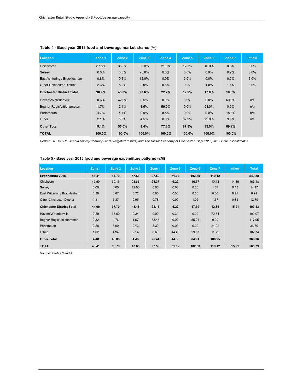| <b>Location</b>                  | Zone 1  | Zone 2  | Zone 3 | Zone 4  | Zone 5  | Zone 6  | Zone 7  | <b>Inflow</b> |
|----------------------------------|---------|---------|--------|---------|---------|---------|---------|---------------|
| Chichester                       | 87.8%   | 36.0%   | 50.0%  | 21.9%   | 12.2%   | 16.0%   | 8.5%    | 9.0%          |
| Selsey                           | $0.0\%$ | $0.0\%$ | 26.6%  | $0.0\%$ | $0.0\%$ | $0.0\%$ | 0.9%    | 3.0%          |
| East Wittering / Bracklesham     | 0.8%    | 0.8%    | 12.0%  | $0.0\%$ | $0.0\%$ | $0.0\%$ | $0.0\%$ | 3.0%          |
| <b>Other Chichester District</b> | 2.3%    | 8.2%    | 2.0%   | 0.8%    | 0.0%    | 1.0%    | 1.4%    | 3.0%          |
| <b>Chichester District Total</b> | 90.9%   | 45.0%   | 90.6%  | 22.7%   | 12.2%   | 17.0%   | 10.8%   |               |
| Havant/Waterlooville             | 0.6%    | 42.6%   | 0.5%   | $0.0\%$ | 0.6%    | $0.0\%$ | 60.9%   | n/a           |
| Bognor Regis/Littlehampton       | 1.7%    | 2.1%    | 3.5%   | 59.9%   | $0.0\%$ | 54.0%   | $0.0\%$ | n/a           |
| Portsmouth                       | 4.7%    | 4.4%    | 0.9%   | 8.5%    | $0.0\%$ | $0.0\%$ | 18.4%   | n/a           |
| Other                            | 2.1%    | 5.9%    | 4.5%   | 8.9%    | 87.2%   | 29.0%   | 9.9%    | n/a           |
| <b>Other Total</b>               | 9.1%    | 55.0%   | 9.4%   | 77.3%   | 87.8%   | 83.0%   | 89.2%   |               |
| <b>TOTAL</b>                     | 100.0%  | 100.0%  | 100.0% | 100.0%  | 100.0%  | 100.0%  | 100.0%  |               |

#### **Table 4 - Base year 2018 food and beverage market shares (%)**

*Source: NEMS Household Survey January 2018 (weighted results) and The Visitor Economy of Chichester (Sept 2016) inc. Lichfields' estimates*

| Location                         | Zone 1 | Zone 2 | Zone 3 | Zone 4 | Zone 5 | Zone 6 | Zone 7 | <b>Inflow</b> | <b>Total</b> |
|----------------------------------|--------|--------|--------|--------|--------|--------|--------|---------------|--------------|
| <b>Expenditure 2018</b>          | 48.41  | 83.79  | 47.66  | 97.59  | 51.02  | 102.30 | 119.12 |               | 549.88       |
| Chichester                       | 42.50  | 30.16  | 23.83  | 21.37  | 6.22   | 16.37  | 10.12  | 14.89         | 165.48       |
| Selsey                           | 0.00   | 0.00   | 12.68  | 0.00   | 0.00   | 0.00   | 1.07   | 0.43          | 14.17        |
| East Wittering / Bracklesham     | 0.39   | 0.67   | 5.72   | 0.00   | 0.00   | 0.00   | 0.00   | 0.21          | 6.99         |
| <b>Other Chichester District</b> | 1.11   | 6.87   | 0.95   | 0.78   | 0.00   | 1.02   | 1.67   | 0.38          | 12.79        |
| <b>Chichester District Total</b> | 44.00  | 37.70  | 43.18  | 22.15  | 6.22   | 17.39  | 12.86  | 15.91         | 199.43       |
| Havant/Waterlooville             | 0.29   | 35.69  | 0.24   | 0.00   | 0.31   | 0.00   | 72.54  |               | 109.07       |
| Bognor Regis/Littlehampton       | 0.82   | 1.76   | 1.67   | 58.46  | 0.00   | 55.24  | 0.00   |               | 117.95       |
| Portsmouth                       | 2.28   | 3.69   | 0.43   | 8.30   | 0.00   | 0.00   | 21.92  |               | 36.60        |
| Other                            | 1.02   | 4.94   | 2.14   | 8.69   | 44.49  | 29.67  | 11.79  |               | 102.74       |
| <b>Other Total</b>               | 4.40   | 46.08  | 4.48   | 75.44  | 44.80  | 84.91  | 106.25 |               | 366.36       |
| <b>TOTAL</b>                     | 48.41  | 83.79  | 47.66  | 97.59  | 51.02  | 102.30 | 119.12 | 15.91         | 565.79       |

#### **Table 5 - Base year 2018 food and beverage expenditure patterns (£M)**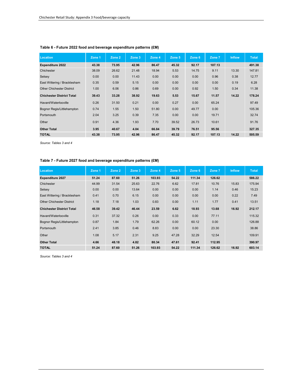| Location                         | Zone 1 | Zone 2 | Zone 3 | Zone 4 | Zone 5 | Zone 6 | Zone 7 | <b>Inflow</b> | <b>Total</b> |
|----------------------------------|--------|--------|--------|--------|--------|--------|--------|---------------|--------------|
| <b>Expenditure 2022</b>          | 43.38  | 73.95  | 42.96  | 86.47  | 45.32  | 92.17  | 107.13 |               | 491.38       |
| Chichester                       | 38.09  | 26.62  | 21.48  | 18.94  | 5.53   | 14.75  | 9.11   | 13.30         | 147.81       |
| Selsey                           | 0.00   | 0.00   | 11.43  | 0.00   | 0.00   | 0.00   | 0.96   | 0.38          | 12.77        |
| East Wittering / Bracklesham     | 0.35   | 0.59   | 5.15   | 0.00   | 0.00   | 0.00   | 0.00   | 0.19          | 6.28         |
| <b>Other Chichester District</b> | 1.00   | 6.06   | 0.86   | 0.69   | 0.00   | 0.92   | 1.50   | 0.34          | 11.38        |
| <b>Chichester District Total</b> | 39.43  | 33.28  | 38.92  | 19.63  | 5.53   | 15.67  | 11.57  | 14.22         | 178.24       |
| Havant/Waterlooville             | 0.26   | 31.50  | 0.21   | 0.00   | 0.27   | 0.00   | 65.24  |               | 97.49        |
| Bognor Regis/Littlehampton       | 0.74   | 1.55   | 1.50   | 51.80  | 0.00   | 49.77  | 0.00   |               | 105.36       |
| Portsmouth                       | 2.04   | 3.25   | 0.39   | 7.35   | 0.00   | 0.00   | 19.71  |               | 32.74        |
| Other                            | 0.91   | 4.36   | 1.93   | 7.70   | 39.52  | 26.73  | 10.61  |               | 91.76        |
| <b>Other Total</b>               | 3.95   | 40.67  | 4.04   | 66.84  | 39.79  | 76.51  | 95.56  |               | 327.35       |
| <b>TOTAL</b>                     | 43.38  | 73.95  | 42.96  | 86.47  | 45.32  | 92.17  | 107.13 | 14.22         | 505.59       |

#### **Table 6 - Future 2022 food and beverage expenditure patterns (£M)**

*Source: Tables 3 and 4*

#### **Table 7 - Future 2027 food and beverage expenditure patterns (£M)**

| Location                         | Zone 1 | Zone 2 | Zone 3 | Zone 4 | Zone 5 | Zone 6 | Zone 7 | <b>Inflow</b> | <b>Total</b> |
|----------------------------------|--------|--------|--------|--------|--------|--------|--------|---------------|--------------|
| <b>Expenditure 2027</b>          | 51.24  | 87.60  | 51.26  | 103.93 | 54.22  | 111.34 | 126.62 |               | 586.22       |
| Chichester                       | 44.99  | 31.54  | 25.63  | 22.76  | 6.62   | 17.81  | 10.76  | 15.83         | 175.94       |
| Selsey                           | 0.00   | 0.00   | 13.64  | 0.00   | 0.00   | 0.00   | 1.14   | 0.46          | 15.23        |
| East Wittering / Bracklesham     | 0.41   | 0.70   | 6.15   | 0.00   | 0.00   | 0.00   | 0.00   | 0.22          | 7.49         |
| <b>Other Chichester District</b> | 1.18   | 7.18   | 1.03   | 0.83   | 0.00   | 1.11   | 1.77   | 0.41          | 13.51        |
| <b>Chichester District Total</b> | 46.58  | 39.42  | 46.44  | 23.59  | 6.62   | 18.93  | 13.68  | 16.92         | 212.17       |
| Havant/Waterlooville             | 0.31   | 37.32  | 0.26   | 0.00   | 0.33   | 0.00   | 77.11  |               | 115.32       |
| Bognor Regis/Littlehampton       | 0.87   | 1.84   | 1.79   | 62.26  | 0.00   | 60.12  | 0.00   |               | 126.88       |
| Portsmouth                       | 2.41   | 3.85   | 0.46   | 8.83   | 0.00   | 0.00   | 23.30  |               | 38.86        |
| Other                            | 1.08   | 5.17   | 2.31   | 9.25   | 47.28  | 32.29  | 12.54  |               | 109.91       |
| <b>Other Total</b>               | 4.66   | 48.18  | 4.82   | 80.34  | 47.61  | 92.41  | 112.95 |               | 390.97       |
| <b>TOTAL</b>                     | 51.24  | 87.60  | 51.26  | 103.93 | 54.22  | 111.34 | 126.62 | 16.92         | 603.14       |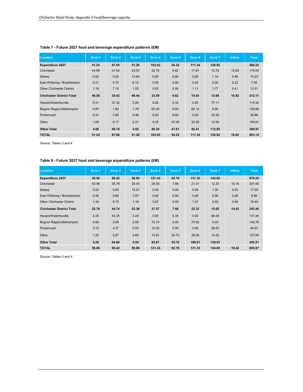| Location                         | Zone 1 | Zone 2 | Zone 3 | Zone 4 | Zone 5 | Zone 6 | Zone 7 | <b>Inflow</b> | <b>Total</b> |
|----------------------------------|--------|--------|--------|--------|--------|--------|--------|---------------|--------------|
| <b>Expenditure 2027</b>          | 51.24  | 87.60  | 51.26  | 103.93 | 54.22  | 111.34 | 126.62 |               | 586.22       |
| Chichester                       | 44.99  | 31.54  | 25.63  | 22.76  | 6.62   | 17.81  | 10.76  | 15.83         | 175.94       |
| Selsey                           | 0.00   | 0.00   | 13.64  | 0.00   | 0.00   | 0.00   | 1.14   | 0.46          | 15.23        |
| East Wittering / Bracklesham     | 0.41   | 0.70   | 6.15   | 0.00   | 0.00   | 0.00   | 0.00   | 0.22          | 7.49         |
| <b>Other Chichester District</b> | 1.18   | 7.18   | 1.03   | 0.83   | 0.00   | 1.11   | 1.77   | 0.41          | 13.51        |
| <b>Chichester District Total</b> | 46.58  | 39.42  | 46.44  | 23.59  | 6.62   | 18.93  | 13.68  | 16.92         | 212.17       |
| Havant/Waterlooville             | 0.31   | 37.32  | 0.26   | 0.00   | 0.33   | 0.00   | 77.11  |               | 115.32       |
| Bognor Regis/Littlehampton       | 0.87   | 1.84   | 1.79   | 62.26  | 0.00   | 60.12  | 0.00   |               | 126.88       |
| Portsmouth                       | 2.41   | 3.85   | 0.46   | 8.83   | 0.00   | 0.00   | 23.30  |               | 38.86        |
| Other                            | 1.08   | 5.17   | 2.31   | 9.25   | 47.28  | 32.29  | 12.54  |               | 109.91       |
| <b>Other Total</b>               | 4.66   | 48.18  | 4.82   | 80.34  | 47.61  | 92.41  | 112.95 |               | 390.97       |
| <b>TOTAL</b>                     | 51.24  | 87.60  | 51.26  | 103.93 | 54.22  | 111.34 | 126.62 | 16.92         | 603.14       |

#### **Table 7 - Future 2027 food and beverage expenditure patterns (£M)**

*Source: Tables 3 and 4*

#### **Table 9 - Future 2037 food and beverage expenditure patterns (£M)**

| <b>Location</b>                  | Zone 1 | Zone 2 | Zone 3 | Zone 4 | Zone 5 | Zone 6 | Zone 7 | <b>Inflow</b> | <b>Total</b> |
|----------------------------------|--------|--------|--------|--------|--------|--------|--------|---------------|--------------|
| <b>Expenditure 2037</b>          | 58.06  | 99.42  | 58.89  | 121.43 | 62.76  | 131.33 | 144.65 |               | 676.55       |
| Chichester                       | 50.98  | 35.79  | 29.45  | 26.59  | 7.66   | 21.01  | 12.30  | 18.18         | 201.95       |
| Selsey                           | 0.00   | 0.00   | 15.67  | 0.00   | 0.00   | 0.00   | 1.30   | 0.52          | 17.49        |
| East Wittering / Bracklesham     | 0.46   | 0.80   | 7.07   | 0.00   | 0.00   | 0.00   | 0.00   | 0.26          | 8.58         |
| <b>Other Chichester District</b> | 1.34   | 8.15   | 1.18   | 0.97   | 0.00   | 1.31   | 2.03   | 0.46          | 15.44        |
| <b>Chichester District Total</b> | 52.78  | 44.74  | 53.36  | 27.57  | 7.66   | 22.33  | 15.62  | 19.42         | 243.46       |
| Havant/Waterlooville             | 0.35   | 42.35  | 0.29   | 0.00   | 0.38   | 0.00   | 88.09  |               | 131.46       |
| Bognor Regis/Littlehampton       | 0.99   | 2.09   | 2.06   | 72.74  | 0.00   | 70.92  | 0.00   |               | 148.79       |
| Portsmouth                       | 2.73   | 4.37   | 0.53   | 10.32  | 0.00   | 0.00   | 26.62  |               | 44.57        |
| Other                            | 1.22   | 5.87   | 2.65   | 10.81  | 54.73  | 38.09  | 14.32  |               | 127.68       |
| <b>Other Total</b>               | 5.28   | 54.68  | 5.54   | 93.87  | 55.10  | 109.01 | 129.03 |               | 452.51       |
| <b>TOTAL</b>                     | 58.06  | 99.42  | 58.89  | 121.43 | 62.76  | 131.33 | 144.65 | 19.42         | 695.97       |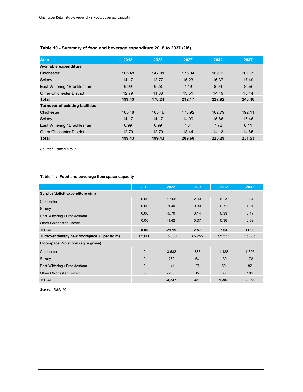| <b>Area</b>                            | 2018   | 2022   | 2027   | 2032   | 2037   |
|----------------------------------------|--------|--------|--------|--------|--------|
| Available expenditure                  |        |        |        |        |        |
| Chichester                             | 165.48 | 147.81 | 175.94 | 189.02 | 201.95 |
| Selsey                                 | 14.17  | 12.77  | 15.23  | 16.37  | 17.49  |
| East Wittering / Bracklesham           | 6.99   | 6.28   | 7.49   | 8.04   | 8.58   |
| <b>Other Chichester District</b>       | 12.79  | 11.38  | 13.51  | 14.49  | 15.44  |
| <b>Total</b>                           | 199.43 | 178.24 | 212.17 | 227.92 | 243.46 |
| <b>Turnover of existing facilities</b> |        |        |        |        |        |
| Chichester                             | 165.48 | 165.48 | 173.92 | 182.79 | 192.11 |
| Selsey                                 | 14.17  | 14.17  | 14.90  | 15.66  | 16.46  |
| East Wittering / Bracklesham           | 6.99   | 6.99   | 7.34   | 7.72   | 8.11   |
| <b>Other Chichester District</b>       | 12.79  | 12.79  | 13.44  | 14.13  | 14.85  |
| <b>Total</b>                           | 199.43 | 199.43 | 209.60 | 220.29 | 231.53 |

#### **Table 10 - Summary of food and beverage expenditure 2018 to 2037 (£M)**

*Source: Tables 5 to 9*

#### **Table 11: Food and beverage floorspace capacity**

|                                              | 2018           | 2022     | 2027   | 2032   | 2037   |
|----------------------------------------------|----------------|----------|--------|--------|--------|
| Surplus/deficit expenditure (£m)             |                |          |        |        |        |
| Chichester                                   | 0.00           | $-17.66$ | 2.03   | 6.23   | 9.84   |
| Selsey                                       | 0.00           | $-1.40$  | 0.33   | 0.72   | 1.04   |
| East Wittering / Bracklesham                 | 0.00           | $-0.70$  | 0.14   | 0.33   | 0.47   |
| <b>Other Chichester District</b>             | 0.00           | $-1.42$  | 0.07   | 0.36   | 0.59   |
| <b>TOTAL</b>                                 | 0.00           |          | 2.57   | 7.63   | 11.93  |
|                                              |                | $-21.19$ |        |        |        |
| Turnover density new floorspace (£ per sq.m) | £5,000         | £5,000   | £5,255 | £5,523 | £5,805 |
| Floorspace Projection (sq.m gross)           |                |          |        |        |        |
| Chichester                                   | $\mathbf{0}$   | $-3,533$ | 386    | 1,128  | 1,695  |
| Selsey                                       | $\overline{0}$ | $-280$   | 64     | 130    | 178    |
| East Wittering / Bracklesham                 | $\Omega$       | $-141$   | 27     | 59     | 82     |
| <b>Other Chichester District</b>             | $\mathbf{0}$   | $-283$   | 12     | 65     | 101    |
| <b>TOTAL</b>                                 | 0              | $-4,237$ | 489    | 1,382  | 2,056  |

*Source: Table 10*